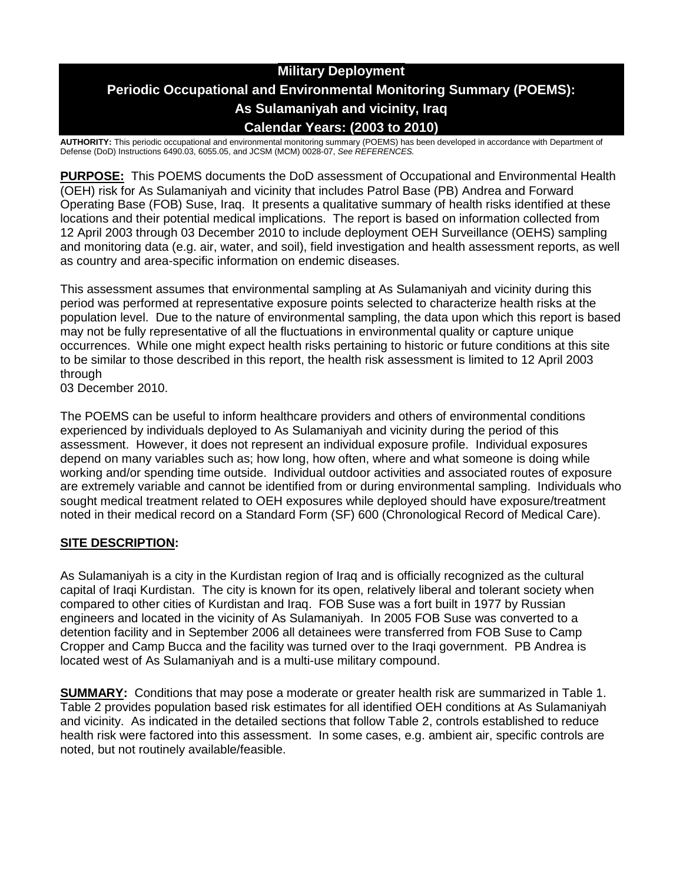## **Military Deployment Periodic Occupational and Environmental Monitoring Summary (POEMS): As Sulamaniyah and vicinity, Iraq Calendar Years: (2003 to 2010)**

**AUTHORITY:** This periodic occupational and environmental monitoring summary (POEMS) has been developed in accordance with Department of Defense (DoD) Instructions 6490.03, 6055.05, and JCSM (MCM) 0028-07, *See REFERENCES.*

**PURPOSE:** This POEMS documents the DoD assessment of Occupational and Environmental Health (OEH) risk for As Sulamaniyah and vicinity that includes Patrol Base (PB) Andrea and Forward Operating Base (FOB) Suse, Iraq. It presents a qualitative summary of health risks identified at these locations and their potential medical implications. The report is based on information collected from 12 April 2003 through 03 December 2010 to include deployment OEH Surveillance (OEHS) sampling and monitoring data (e.g. air, water, and soil), field investigation and health assessment reports, as well as country and area-specific information on endemic diseases.

This assessment assumes that environmental sampling at As Sulamaniyah and vicinity during this period was performed at representative exposure points selected to characterize health risks at the population level. Due to the nature of environmental sampling, the data upon which this report is based may not be fully representative of all the fluctuations in environmental quality or capture unique occurrences. While one might expect health risks pertaining to historic or future conditions at this site to be similar to those described in this report, the health risk assessment is limited to 12 April 2003 through

03 December 2010.

The POEMS can be useful to inform healthcare providers and others of environmental conditions experienced by individuals deployed to As Sulamaniyah and vicinity during the period of this assessment. However, it does not represent an individual exposure profile. Individual exposures depend on many variables such as; how long, how often, where and what someone is doing while working and/or spending time outside. Individual outdoor activities and associated routes of exposure are extremely variable and cannot be identified from or during environmental sampling. Individuals who sought medical treatment related to OEH exposures while deployed should have exposure/treatment noted in their medical record on a Standard Form (SF) 600 (Chronological Record of Medical Care).

### **SITE DESCRIPTION:**

As Sulamaniyah is a city in the Kurdistan region of Iraq and is officially recognized as the cultural capital of Iraqi Kurdistan. The city is known for its open, relatively liberal and tolerant society when compared to other cities of Kurdistan and Iraq. FOB Suse was a fort built in 1977 by Russian engineers and located in the vicinity of As Sulamaniyah. In 2005 FOB Suse was converted to a detention facility and in September 2006 all detainees were transferred from FOB Suse to Camp Cropper and Camp Bucca and the facility was turned over to the Iraqi government. PB Andrea is located west of As Sulamaniyah and is a multi-use military compound.

**SUMMARY:** Conditions that may pose a moderate or greater health risk are summarized in Table 1. Table 2 provides population based risk estimates for all identified OEH conditions at As Sulamaniyah and vicinity. As indicated in the detailed sections that follow Table 2, controls established to reduce health risk were factored into this assessment. In some cases, e.g. ambient air, specific controls are noted, but not routinely available/feasible.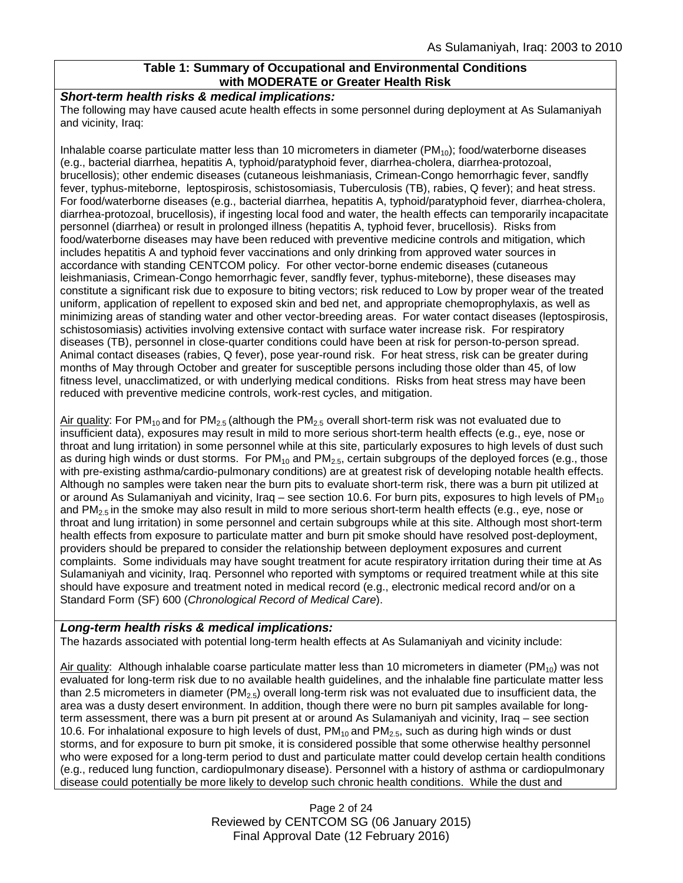### **Table 1: Summary of Occupational and Environmental Conditions with MODERATE or Greater Health Risk**

#### *Short-term health risks & medical implications:*

The following may have caused acute health effects in some personnel during deployment at As Sulamaniyah and vicinity, Iraq:

Inhalable coarse particulate matter less than 10 micrometers in diameter (PM10); food/waterborne diseases (e.g., bacterial diarrhea, hepatitis A, typhoid/paratyphoid fever, diarrhea-cholera, diarrhea-protozoal, brucellosis); other endemic diseases (cutaneous leishmaniasis, Crimean-Congo hemorrhagic fever, sandfly fever, typhus-miteborne, leptospirosis, schistosomiasis, Tuberculosis (TB), rabies, Q fever); and heat stress. For food/waterborne diseases (e.g., bacterial diarrhea, hepatitis A, typhoid/paratyphoid fever, diarrhea-cholera, diarrhea-protozoal, brucellosis), if ingesting local food and water, the health effects can temporarily incapacitate personnel (diarrhea) or result in prolonged illness (hepatitis A, typhoid fever, brucellosis). Risks from food/waterborne diseases may have been reduced with preventive medicine controls and mitigation, which includes hepatitis A and typhoid fever vaccinations and only drinking from approved water sources in accordance with standing CENTCOM policy. For other vector-borne endemic diseases (cutaneous leishmaniasis, Crimean-Congo hemorrhagic fever, sandfly fever, typhus-miteborne), these diseases may constitute a significant risk due to exposure to biting vectors; risk reduced to Low by proper wear of the treated uniform, application of repellent to exposed skin and bed net, and appropriate chemoprophylaxis, as well as minimizing areas of standing water and other vector-breeding areas. For water contact diseases (leptospirosis, schistosomiasis) activities involving extensive contact with surface water increase risk. For respiratory diseases (TB), personnel in close-quarter conditions could have been at risk for person-to-person spread. Animal contact diseases (rabies, Q fever), pose year-round risk. For heat stress, risk can be greater during months of May through October and greater for susceptible persons including those older than 45, of low fitness level, unacclimatized, or with underlying medical conditions. Risks from heat stress may have been reduced with preventive medicine controls, work-rest cycles, and mitigation.

Air quality: For PM<sub>10</sub> and for PM<sub>2.5</sub> (although the PM<sub>2.5</sub> overall short-term risk was not evaluated due to insufficient data), exposures may result in mild to more serious short-term health effects (e.g., eye, nose or throat and lung irritation) in some personnel while at this site, particularly exposures to high levels of dust such as during high winds or dust storms. For  $PM_{10}$  and  $PM_{2.5}$ , certain subgroups of the deployed forces (e.g., those with pre-existing asthma/cardio-pulmonary conditions) are at greatest risk of developing notable health effects. Although no samples were taken near the burn pits to evaluate short-term risk, there was a burn pit utilized at or around As Sulamaniyah and vicinity, Iraq – see section 10.6. For burn pits, exposures to high levels of  $PM_{10}$ and  $PM_{2.5}$  in the smoke may also result in mild to more serious short-term health effects (e.g., eye, nose or throat and lung irritation) in some personnel and certain subgroups while at this site. Although most short-term health effects from exposure to particulate matter and burn pit smoke should have resolved post-deployment, providers should be prepared to consider the relationship between deployment exposures and current complaints. Some individuals may have sought treatment for acute respiratory irritation during their time at As Sulamaniyah and vicinity, Iraq. Personnel who reported with symptoms or required treatment while at this site should have exposure and treatment noted in medical record (e.g., electronic medical record and/or on a Standard Form (SF) 600 (*Chronological Record of Medical Care*).

### *Long-term health risks & medical implications:*

The hazards associated with potential long-term health effects at As Sulamaniyah and vicinity include:

Air quality: Although inhalable coarse particulate matter less than 10 micrometers in diameter (PM<sub>10</sub>) was not evaluated for long-term risk due to no available health guidelines, and the inhalable fine particulate matter less than 2.5 micrometers in diameter ( $PM_{2.5}$ ) overall long-term risk was not evaluated due to insufficient data, the area was a dusty desert environment. In addition, though there were no burn pit samples available for longterm assessment, there was a burn pit present at or around As Sulamaniyah and vicinity, Iraq – see section 10.6. For inhalational exposure to high levels of dust,  $PM_{10}$  and  $PM_{2.5}$ , such as during high winds or dust storms, and for exposure to burn pit smoke, it is considered possible that some otherwise healthy personnel who were exposed for a long-term period to dust and particulate matter could develop certain health conditions (e.g., reduced lung function, cardiopulmonary disease). Personnel with a history of asthma or cardiopulmonary disease could potentially be more likely to develop such chronic health conditions. While the dust and

> Page 2 of 24 Reviewed by CENTCOM SG (06 January 2015) Final Approval Date (12 February 2016)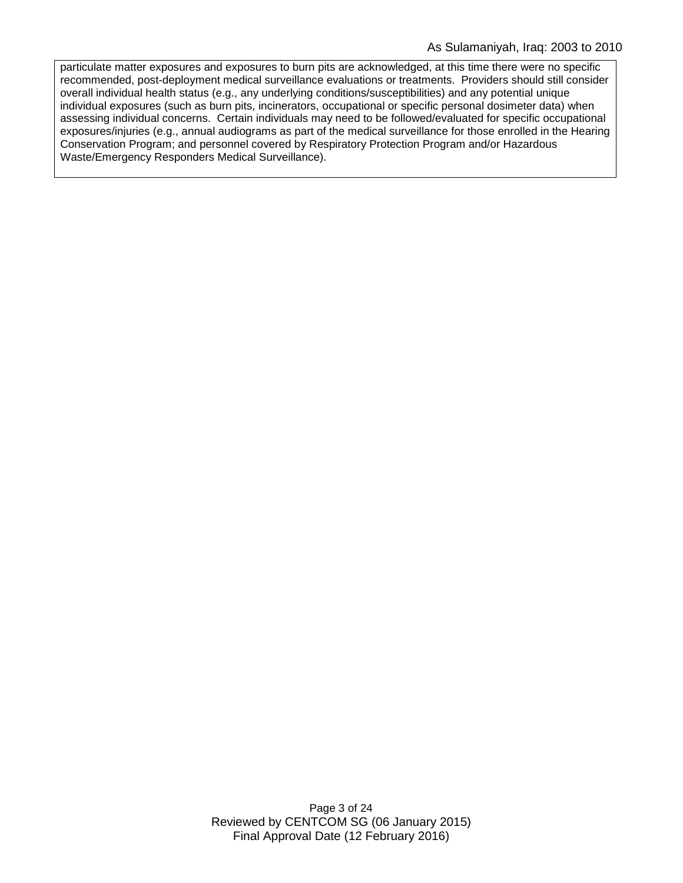particulate matter exposures and exposures to burn pits are acknowledged, at this time there were no specific recommended, post-deployment medical surveillance evaluations or treatments. Providers should still consider overall individual health status (e.g., any underlying conditions/susceptibilities) and any potential unique individual exposures (such as burn pits, incinerators, occupational or specific personal dosimeter data) when assessing individual concerns. Certain individuals may need to be followed/evaluated for specific occupational exposures/injuries (e.g., annual audiograms as part of the medical surveillance for those enrolled in the Hearing Conservation Program; and personnel covered by Respiratory Protection Program and/or Hazardous Waste/Emergency Responders Medical Surveillance).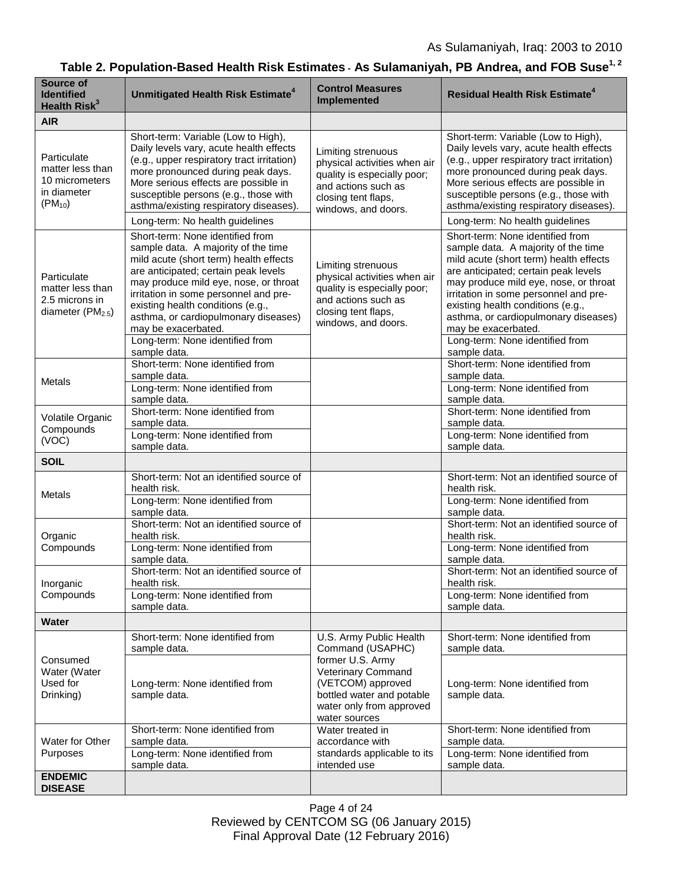# Table 2. Population-Based Health Risk Estimates - As Sulamaniyah, PB Andrea, and FOB Suse<sup>1, 2</sup>

| Source of<br><b>Identified</b><br>Health Risk <sup>3</sup>                         | Unmitigated Health Risk Estimate <sup>4</sup>                                                                                                                                                                                                                                                                                                                                                      | <b>Control Measures</b><br><b>Implemented</b>                                                                                                                                        | <b>Residual Health Risk Estimate<sup>4</sup></b>                                                                                                                                                                                                                                                                                                                                                   |
|------------------------------------------------------------------------------------|----------------------------------------------------------------------------------------------------------------------------------------------------------------------------------------------------------------------------------------------------------------------------------------------------------------------------------------------------------------------------------------------------|--------------------------------------------------------------------------------------------------------------------------------------------------------------------------------------|----------------------------------------------------------------------------------------------------------------------------------------------------------------------------------------------------------------------------------------------------------------------------------------------------------------------------------------------------------------------------------------------------|
| <b>AIR</b>                                                                         |                                                                                                                                                                                                                                                                                                                                                                                                    |                                                                                                                                                                                      |                                                                                                                                                                                                                                                                                                                                                                                                    |
| Particulate<br>matter less than<br>10 micrometers<br>in diameter<br>$(PM_{10})$    | Short-term: Variable (Low to High),<br>Daily levels vary, acute health effects<br>(e.g., upper respiratory tract irritation)<br>more pronounced during peak days.<br>More serious effects are possible in<br>susceptible persons (e.g., those with<br>asthma/existing respiratory diseases).<br>Long-term: No health guidelines                                                                    | Limiting strenuous<br>physical activities when air<br>quality is especially poor;<br>and actions such as<br>closing tent flaps,<br>windows, and doors.                               | Short-term: Variable (Low to High),<br>Daily levels vary, acute health effects<br>(e.g., upper respiratory tract irritation)<br>more pronounced during peak days.<br>More serious effects are possible in<br>susceptible persons (e.g., those with<br>asthma/existing respiratory diseases).<br>Long-term: No health guidelines                                                                    |
| Particulate<br>matter less than<br>2.5 microns in<br>diameter (PM <sub>2.5</sub> ) | Short-term: None identified from<br>sample data. A majority of the time<br>mild acute (short term) health effects<br>are anticipated; certain peak levels<br>may produce mild eye, nose, or throat<br>irritation in some personnel and pre-<br>existing health conditions (e.g.,<br>asthma, or cardiopulmonary diseases)<br>may be exacerbated.<br>Long-term: None identified from<br>sample data. | Limiting strenuous<br>physical activities when air<br>quality is especially poor;<br>and actions such as<br>closing tent flaps,<br>windows, and doors.                               | Short-term: None identified from<br>sample data. A majority of the time<br>mild acute (short term) health effects<br>are anticipated; certain peak levels<br>may produce mild eye, nose, or throat<br>irritation in some personnel and pre-<br>existing health conditions (e.g.,<br>asthma, or cardiopulmonary diseases)<br>may be exacerbated.<br>Long-term: None identified from<br>sample data. |
| Metals                                                                             | Short-term: None identified from<br>sample data.<br>Long-term: None identified from<br>sample data.                                                                                                                                                                                                                                                                                                |                                                                                                                                                                                      | Short-term: None identified from<br>sample data.<br>Long-term: None identified from<br>sample data.                                                                                                                                                                                                                                                                                                |
| Volatile Organic<br>Compounds<br>(VOC)                                             | Short-term: None identified from<br>sample data.<br>Long-term: None identified from<br>sample data.                                                                                                                                                                                                                                                                                                |                                                                                                                                                                                      | Short-term: None identified from<br>sample data.<br>Long-term: None identified from<br>sample data.                                                                                                                                                                                                                                                                                                |
| <b>SOIL</b>                                                                        |                                                                                                                                                                                                                                                                                                                                                                                                    |                                                                                                                                                                                      |                                                                                                                                                                                                                                                                                                                                                                                                    |
| Metals                                                                             | Short-term: Not an identified source of<br>health risk.<br>Long-term: None identified from<br>sample data.                                                                                                                                                                                                                                                                                         |                                                                                                                                                                                      | Short-term: Not an identified source of<br>health risk.<br>Long-term: None identified from<br>sample data.                                                                                                                                                                                                                                                                                         |
| Organic<br>Compounds                                                               | Short-term: Not an identified source of<br>health risk.<br>Long-term: None identified from<br>sample data.                                                                                                                                                                                                                                                                                         |                                                                                                                                                                                      | Short-term: Not an identified source of<br>health risk.<br>Long-term: None identified from<br>sample data.                                                                                                                                                                                                                                                                                         |
| Inorganic<br>Compounds                                                             | Short-term: Not an identified source of<br>health risk.<br>Long-term: None identified from                                                                                                                                                                                                                                                                                                         |                                                                                                                                                                                      | Short-term: Not an identified source of<br>health risk.<br>Long-term: None identified from                                                                                                                                                                                                                                                                                                         |
| <b>Water</b>                                                                       | sample data.                                                                                                                                                                                                                                                                                                                                                                                       |                                                                                                                                                                                      | sample data.                                                                                                                                                                                                                                                                                                                                                                                       |
| Consumed<br>Water (Water<br>Used for<br>Drinking)                                  | Short-term: None identified from<br>sample data.                                                                                                                                                                                                                                                                                                                                                   | U.S. Army Public Health<br>Command (USAPHC)<br>former U.S. Army<br>Veterinary Command<br>(VETCOM) approved<br>bottled water and potable<br>water only from approved<br>water sources | Short-term: None identified from<br>sample data.                                                                                                                                                                                                                                                                                                                                                   |
|                                                                                    | Long-term: None identified from<br>sample data.                                                                                                                                                                                                                                                                                                                                                    |                                                                                                                                                                                      | Long-term: None identified from<br>sample data.                                                                                                                                                                                                                                                                                                                                                    |
| Water for Other<br>Purposes                                                        | Short-term: None identified from<br>sample data.<br>Long-term: None identified from                                                                                                                                                                                                                                                                                                                | Water treated in<br>accordance with<br>standards applicable to its<br>intended use                                                                                                   | Short-term: None identified from<br>sample data.<br>Long-term: None identified from                                                                                                                                                                                                                                                                                                                |
|                                                                                    | sample data.                                                                                                                                                                                                                                                                                                                                                                                       |                                                                                                                                                                                      | sample data.                                                                                                                                                                                                                                                                                                                                                                                       |
| <b>ENDEMIC</b><br><b>DISEASE</b>                                                   |                                                                                                                                                                                                                                                                                                                                                                                                    |                                                                                                                                                                                      |                                                                                                                                                                                                                                                                                                                                                                                                    |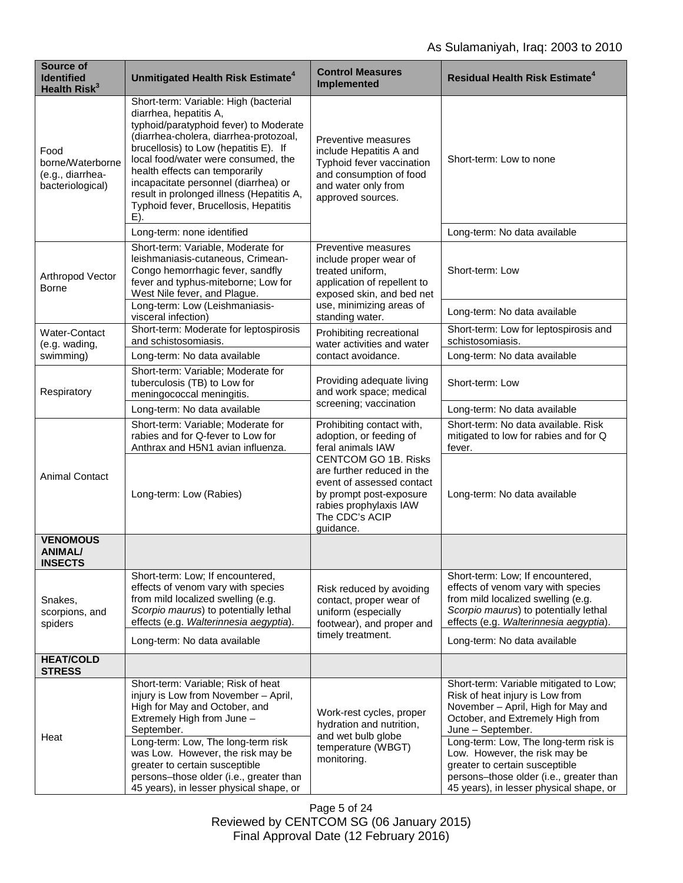| Source of<br><b>Identified</b><br>Health Risk <sup>3</sup>       | Unmitigated Health Risk Estimate <sup>4</sup>                                                                                                                                                                                                                                                                                                                                                                 | <b>Control Measures</b><br>Implemented                                                                                                                                       | <b>Residual Health Risk Estimate<sup>4</sup></b>                                                                                                                                                                                                                                     |
|------------------------------------------------------------------|---------------------------------------------------------------------------------------------------------------------------------------------------------------------------------------------------------------------------------------------------------------------------------------------------------------------------------------------------------------------------------------------------------------|------------------------------------------------------------------------------------------------------------------------------------------------------------------------------|--------------------------------------------------------------------------------------------------------------------------------------------------------------------------------------------------------------------------------------------------------------------------------------|
| Food<br>borne/Waterborne<br>(e.g., diarrhea-<br>bacteriological) | Short-term: Variable: High (bacterial<br>diarrhea, hepatitis A,<br>typhoid/paratyphoid fever) to Moderate<br>(diarrhea-cholera, diarrhea-protozoal,<br>brucellosis) to Low (hepatitis E). If<br>local food/water were consumed, the<br>health effects can temporarily<br>incapacitate personnel (diarrhea) or<br>result in prolonged illness (Hepatitis A,<br>Typhoid fever, Brucellosis, Hepatitis<br>$E$ ). | Preventive measures<br>include Hepatitis A and<br>Typhoid fever vaccination<br>and consumption of food<br>and water only from<br>approved sources.                           | Short-term: Low to none                                                                                                                                                                                                                                                              |
|                                                                  | Long-term: none identified                                                                                                                                                                                                                                                                                                                                                                                    |                                                                                                                                                                              | Long-term: No data available                                                                                                                                                                                                                                                         |
| Arthropod Vector<br><b>Borne</b>                                 | Short-term: Variable, Moderate for<br>leishmaniasis-cutaneous, Crimean-<br>Congo hemorrhagic fever, sandfly<br>fever and typhus-miteborne; Low for<br>West Nile fever, and Plague.                                                                                                                                                                                                                            | Preventive measures<br>include proper wear of<br>treated uniform,<br>application of repellent to<br>exposed skin, and bed net<br>use, minimizing areas of<br>standing water. | Short-term: Low                                                                                                                                                                                                                                                                      |
|                                                                  | Long-term: Low (Leishmaniasis-<br>visceral infection)                                                                                                                                                                                                                                                                                                                                                         |                                                                                                                                                                              | Long-term: No data available                                                                                                                                                                                                                                                         |
| Water-Contact<br>(e.g. wading,                                   | Short-term: Moderate for leptospirosis<br>and schistosomiasis.                                                                                                                                                                                                                                                                                                                                                | Prohibiting recreational<br>water activities and water                                                                                                                       | Short-term: Low for leptospirosis and<br>schistosomiasis.                                                                                                                                                                                                                            |
| swimming)                                                        | Long-term: No data available                                                                                                                                                                                                                                                                                                                                                                                  | contact avoidance.                                                                                                                                                           | Long-term: No data available                                                                                                                                                                                                                                                         |
| Respiratory                                                      | Short-term: Variable; Moderate for<br>tuberculosis (TB) to Low for<br>meningococcal meningitis.                                                                                                                                                                                                                                                                                                               | Providing adequate living<br>and work space; medical<br>screening; vaccination                                                                                               | Short-term: Low                                                                                                                                                                                                                                                                      |
|                                                                  | Long-term: No data available                                                                                                                                                                                                                                                                                                                                                                                  |                                                                                                                                                                              | Long-term: No data available                                                                                                                                                                                                                                                         |
| <b>Animal Contact</b>                                            | Short-term: Variable; Moderate for<br>rabies and for Q-fever to Low for<br>Anthrax and H5N1 avian influenza.                                                                                                                                                                                                                                                                                                  | Prohibiting contact with,<br>adoption, or feeding of<br>feral animals IAW                                                                                                    | Short-term: No data available. Risk<br>mitigated to low for rabies and for Q<br>fever.                                                                                                                                                                                               |
|                                                                  | Long-term: Low (Rabies)                                                                                                                                                                                                                                                                                                                                                                                       | <b>CENTCOM GO 1B. Risks</b><br>are further reduced in the<br>event of assessed contact<br>by prompt post-exposure<br>rabies prophylaxis IAW<br>The CDC's ACIP<br>guidance.   | Long-term: No data available                                                                                                                                                                                                                                                         |
| <b>VENOMOUS</b><br><b>ANIMAL/</b><br>INSECTS                     |                                                                                                                                                                                                                                                                                                                                                                                                               |                                                                                                                                                                              |                                                                                                                                                                                                                                                                                      |
| Snakes,<br>scorpions, and<br>spiders                             | Short-term: Low; If encountered,<br>effects of venom vary with species<br>from mild localized swelling (e.g.<br>Scorpio maurus) to potentially lethal<br>effects (e.g. Walterinnesia aegyptia).                                                                                                                                                                                                               | Risk reduced by avoiding<br>contact, proper wear of<br>uniform (especially<br>footwear), and proper and<br>timely treatment.                                                 | Short-term: Low; If encountered,<br>effects of venom vary with species<br>from mild localized swelling (e.g.<br>Scorpio maurus) to potentially lethal<br>effects (e.g. Walterinnesia aegyptia).                                                                                      |
|                                                                  | Long-term: No data available                                                                                                                                                                                                                                                                                                                                                                                  |                                                                                                                                                                              | Long-term: No data available                                                                                                                                                                                                                                                         |
| <b>HEAT/COLD</b><br><b>STRESS</b>                                |                                                                                                                                                                                                                                                                                                                                                                                                               |                                                                                                                                                                              |                                                                                                                                                                                                                                                                                      |
| Heat                                                             | Short-term: Variable; Risk of heat<br>injury is Low from November - April,<br>High for May and October, and<br>Extremely High from June -<br>September.<br>Long-term: Low, The long-term risk<br>was Low. However, the risk may be<br>greater to certain susceptible                                                                                                                                          | Work-rest cycles, proper<br>hydration and nutrition,<br>and wet bulb globe<br>temperature (WBGT)<br>monitoring.                                                              | Short-term: Variable mitigated to Low;<br>Risk of heat injury is Low from<br>November - April, High for May and<br>October, and Extremely High from<br>June - September.<br>Long-term: Low, The long-term risk is<br>Low. However, the risk may be<br>greater to certain susceptible |
|                                                                  | persons-those older (i.e., greater than<br>45 years), in lesser physical shape, or                                                                                                                                                                                                                                                                                                                            |                                                                                                                                                                              | persons-those older (i.e., greater than<br>45 years), in lesser physical shape, or                                                                                                                                                                                                   |

Page 5 of 24 Reviewed by CENTCOM SG (06 January 2015) Final Approval Date (12 February 2016)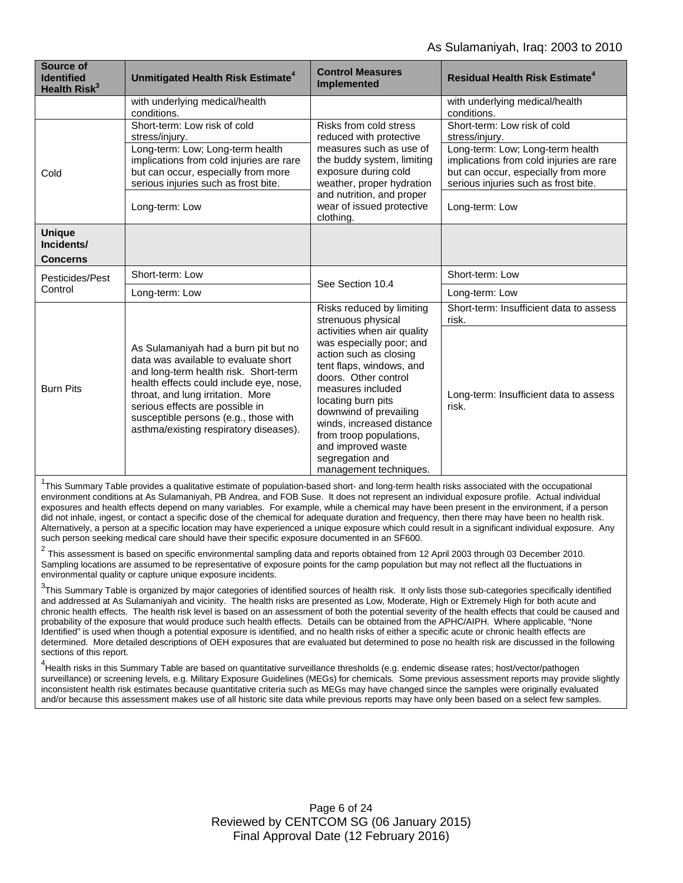| <b>Source of</b><br><b>Identified</b><br>Health Risk <sup>3</sup> | Unmitigated Health Risk Estimate <sup>4</sup>                                                                                                                                                                                                                                                                               | <b>Control Measures</b><br>Implemented                                                                                                                                                                                                                                                                                                                                                   | <b>Residual Health Risk Estimate<sup>4</sup></b>                                                                                                            |
|-------------------------------------------------------------------|-----------------------------------------------------------------------------------------------------------------------------------------------------------------------------------------------------------------------------------------------------------------------------------------------------------------------------|------------------------------------------------------------------------------------------------------------------------------------------------------------------------------------------------------------------------------------------------------------------------------------------------------------------------------------------------------------------------------------------|-------------------------------------------------------------------------------------------------------------------------------------------------------------|
|                                                                   | with underlying medical/health<br>conditions.                                                                                                                                                                                                                                                                               |                                                                                                                                                                                                                                                                                                                                                                                          | with underlying medical/health<br>conditions.                                                                                                               |
| Cold                                                              | Short-term: Low risk of cold<br>stress/injury.                                                                                                                                                                                                                                                                              | Risks from cold stress<br>reduced with protective<br>measures such as use of<br>the buddy system, limiting<br>exposure during cold<br>weather, proper hydration<br>and nutrition, and proper<br>wear of issued protective<br>clothing.                                                                                                                                                   | Short-term: Low risk of cold<br>stress/injury.                                                                                                              |
|                                                                   | Long-term: Low; Long-term health<br>implications from cold injuries are rare<br>but can occur, especially from more<br>serious injuries such as frost bite.                                                                                                                                                                 |                                                                                                                                                                                                                                                                                                                                                                                          | Long-term: Low; Long-term health<br>implications from cold injuries are rare<br>but can occur, especially from more<br>serious injuries such as frost bite. |
|                                                                   | Long-term: Low                                                                                                                                                                                                                                                                                                              |                                                                                                                                                                                                                                                                                                                                                                                          | Long-term: Low                                                                                                                                              |
| <b>Unique</b><br>Incidents/                                       |                                                                                                                                                                                                                                                                                                                             |                                                                                                                                                                                                                                                                                                                                                                                          |                                                                                                                                                             |
| <b>Concerns</b>                                                   |                                                                                                                                                                                                                                                                                                                             |                                                                                                                                                                                                                                                                                                                                                                                          |                                                                                                                                                             |
| Pesticides/Pest<br>Control                                        | Short-term: Low                                                                                                                                                                                                                                                                                                             | See Section 10.4                                                                                                                                                                                                                                                                                                                                                                         | Short-term: Low                                                                                                                                             |
|                                                                   | Long-term: Low                                                                                                                                                                                                                                                                                                              |                                                                                                                                                                                                                                                                                                                                                                                          | Long-term: Low                                                                                                                                              |
| <b>Burn Pits</b>                                                  | As Sulamaniyah had a burn pit but no<br>data was available to evaluate short<br>and long-term health risk. Short-term<br>health effects could include eye, nose,<br>throat, and lung irritation. More<br>serious effects are possible in<br>susceptible persons (e.g., those with<br>asthma/existing respiratory diseases). | Risks reduced by limiting<br>strenuous physical<br>activities when air quality<br>was especially poor; and<br>action such as closing<br>tent flaps, windows, and<br>doors. Other control<br>measures included<br>locating burn pits<br>downwind of prevailing<br>winds, increased distance<br>from troop populations,<br>and improved waste<br>segregation and<br>management techniques. | Short-term: Insufficient data to assess<br>risk.                                                                                                            |
|                                                                   |                                                                                                                                                                                                                                                                                                                             |                                                                                                                                                                                                                                                                                                                                                                                          | Long-term: Insufficient data to assess<br>risk.                                                                                                             |

<sup>1</sup>This Summary Table provides a qualitative estimate of population-based short- and long-term health risks associated with the occupational environment conditions at As Sulamaniyah, PB Andrea, and FOB Suse. It does not represent an individual exposure profile. Actual individual exposures and health effects depend on many variables. For example, while a chemical may have been present in the environment, if a person did not inhale, ingest, or contact a specific dose of the chemical for adequate duration and frequency, then there may have been no health risk. Alternatively, a person at a specific location may have experienced a unique exposure which could result in a significant individual exposure. Any such person seeking medical care should have their specific exposure documented in an SF600.

 $^2$  This assessment is based on specific environmental sampling data and reports obtained from 12 April 2003 through 03 December 2010. Sampling locations are assumed to be representative of exposure points for the camp population but may not reflect all the fluctuations in environmental quality or capture unique exposure incidents.

 $^3$ This Summary Table is organized by major categories of identified sources of health risk. It only lists those sub-categories specifically identified and addressed at As Sulamaniyah and vicinity. The health risks are presented as Low, Moderate, High or Extremely High for both acute and chronic health effects. The health risk level is based on an assessment of both the potential severity of the health effects that could be caused and probability of the exposure that would produce such health effects. Details can be obtained from the APHC/AIPH. Where applicable, "None Identified" is used when though a potential exposure is identified, and no health risks of either a specific acute or chronic health effects are determined. More detailed descriptions of OEH exposures that are evaluated but determined to pose no health risk are discussed in the following sections of this report.

<sup>4</sup><br>Health risks in this Summary Table are based on quantitative surveillance thresholds (e.g. endemic disease rates; host/vector/pathogen surveillance) or screening levels, e.g. Military Exposure Guidelines (MEGs) for chemicals*.* Some previous assessment reports may provide slightly inconsistent health risk estimates because quantitative criteria such as MEGs may have changed since the samples were originally evaluated and/or because this assessment makes use of all historic site data while previous reports may have only been based on a select few samples.

> Page 6 of 24 Reviewed by CENTCOM SG (06 January 2015) Final Approval Date (12 February 2016)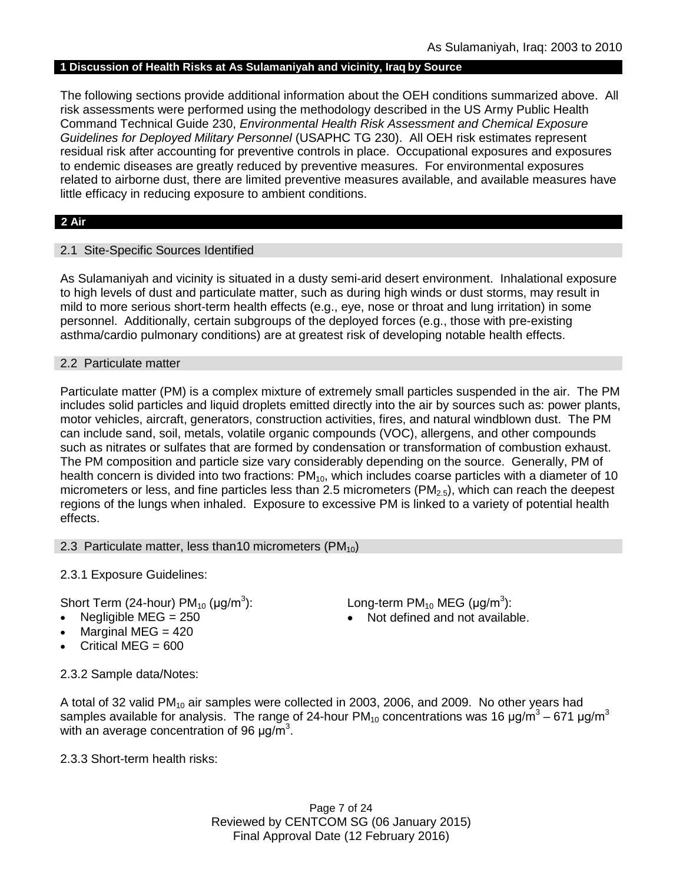### **1 Discussion of Health Risks at As Sulamaniyah and vicinity, Iraq by Source**

The following sections provide additional information about the OEH conditions summarized above. All risk assessments were performed using the methodology described in the US Army Public Health Command Technical Guide 230, *Environmental Health Risk Assessment and Chemical Exposure Guidelines for Deployed Military Personnel* (USAPHC TG 230). All OEH risk estimates represent residual risk after accounting for preventive controls in place. Occupational exposures and exposures to endemic diseases are greatly reduced by preventive measures. For environmental exposures related to airborne dust, there are limited preventive measures available, and available measures have little efficacy in reducing exposure to ambient conditions.

### **2 Air**

### 2.1 Site-Specific Sources Identified

As Sulamaniyah and vicinity is situated in a dusty semi-arid desert environment. Inhalational exposure to high levels of dust and particulate matter, such as during high winds or dust storms, may result in mild to more serious short-term health effects (e.g., eye, nose or throat and lung irritation) in some personnel. Additionally, certain subgroups of the deployed forces (e.g., those with pre-existing asthma/cardio pulmonary conditions) are at greatest risk of developing notable health effects.

### 2.2 Particulate matter

Particulate matter (PM) is a complex mixture of extremely small particles suspended in the air. The PM includes solid particles and liquid droplets emitted directly into the air by sources such as: power plants, motor vehicles, aircraft, generators, construction activities, fires, and natural windblown dust. The PM can include sand, soil, metals, volatile organic compounds (VOC), allergens, and other compounds such as nitrates or sulfates that are formed by condensation or transformation of combustion exhaust. The PM composition and particle size vary considerably depending on the source. Generally, PM of health concern is divided into two fractions:  $PM_{10}$ , which includes coarse particles with a diameter of 10 micrometers or less, and fine particles less than 2.5 micrometers ( $PM<sub>2.5</sub>$ ), which can reach the deepest regions of the lungs when inhaled. Exposure to excessive PM is linked to a variety of potential health effects.

### 2.3 Particulate matter, less than 10 micrometers ( $PM_{10}$ )

2.3.1 Exposure Guidelines:

Short Term (24-hour)  $PM_{10}$  ( $\mu$ g/m<sup>3</sup>): ): Long-term PM<sub>10</sub> MEG ( $\mu$ g/m<sup>3</sup>):

- Negligible MEG = 250 **•** Not defined and not available.
- Marginal MEG  $= 420$
- Critical MEG = 600

2.3.2 Sample data/Notes:

A total of 32 valid PM $_{10}$  air samples were collected in 2003, 2006, and 2009. No other years had samples available for analysis. The range of 24-hour PM<sub>10</sub> concentrations was 16  $\mu$ g/m<sup>3</sup> – 671  $\mu$ g/m<sup>3</sup> with an average concentration of 96  $\mu$ g/m<sup>3</sup>.

2.3.3 Short-term health risks: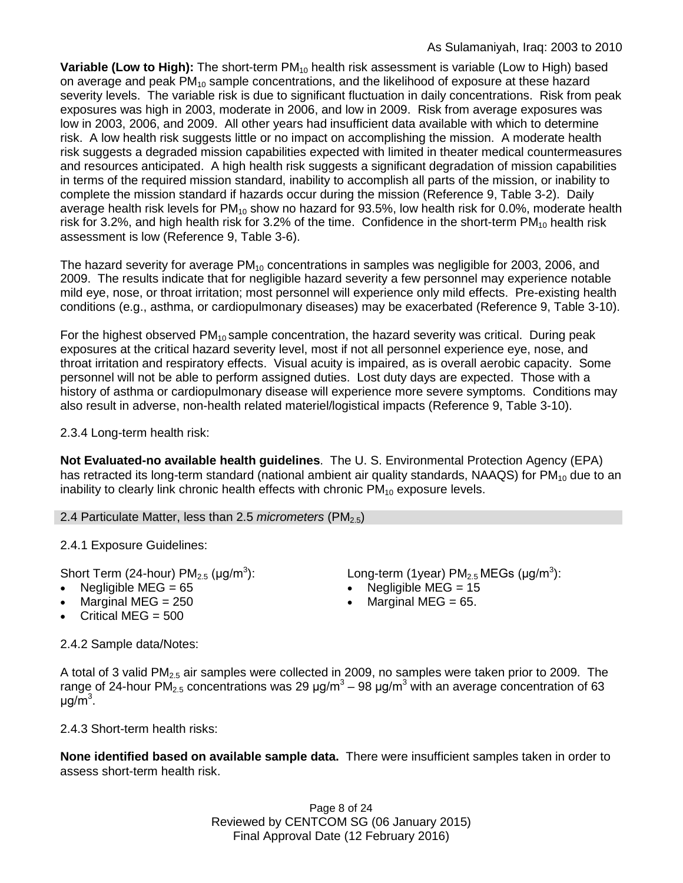**Variable (Low to High):** The short-term PM<sub>10</sub> health risk assessment is variable (Low to High) based on average and peak  $PM_{10}$  sample concentrations, and the likelihood of exposure at these hazard severity levels. The variable risk is due to significant fluctuation in daily concentrations. Risk from peak exposures was high in 2003, moderate in 2006, and low in 2009. Risk from average exposures was low in 2003, 2006, and 2009. All other years had insufficient data available with which to determine risk. A low health risk suggests little or no impact on accomplishing the mission. A moderate health risk suggests a degraded mission capabilities expected with limited in theater medical countermeasures and resources anticipated. A high health risk suggests a significant degradation of mission capabilities in terms of the required mission standard, inability to accomplish all parts of the mission, or inability to complete the mission standard if hazards occur during the mission (Reference 9, Table 3-2). Daily average health risk levels for  $PM_{10}$  show no hazard for 93.5%, low health risk for 0.0%, moderate health risk for 3.2%, and high health risk for 3.2% of the time. Confidence in the short-term  $PM_{10}$  health risk assessment is low (Reference 9, Table 3-6).

The hazard severity for average  $PM_{10}$  concentrations in samples was negligible for 2003, 2006, and 2009. The results indicate that for negligible hazard severity a few personnel may experience notable mild eye, nose, or throat irritation; most personnel will experience only mild effects. Pre-existing health conditions (e.g., asthma, or cardiopulmonary diseases) may be exacerbated (Reference 9, Table 3-10).

For the highest observed  $PM_{10}$  sample concentration, the hazard severity was critical. During peak exposures at the critical hazard severity level, most if not all personnel experience eye, nose, and throat irritation and respiratory effects. Visual acuity is impaired, as is overall aerobic capacity. Some personnel will not be able to perform assigned duties. Lost duty days are expected. Those with a history of asthma or cardiopulmonary disease will experience more severe symptoms. Conditions may also result in adverse, non-health related materiel/logistical impacts (Reference 9, Table 3-10).

2.3.4 Long-term health risk:

**Not Evaluated-no available health guidelines**. The U. S. Environmental Protection Agency (EPA) has retracted its long-term standard (national ambient air quality standards, NAAQS) for  $PM_{10}$  due to an inability to clearly link chronic health effects with chronic  $PM_{10}$  exposure levels.

2.4 Particulate Matter, less than 2.5 *micrometers* (PM<sub>2.5</sub>)

2.4.1 Exposure Guidelines:

Short Term (24-hour) PM<sub>2.5</sub> ( $\mu$ g/m<sup>3</sup>):<br>• Negligible MEG = 65

- 
- 
- Critical MEG  $= 500$

): Long-term (1year)  $PM_{2.5}$  MEGs (µg/m<sup>3</sup>):

- Negligible MEG =  $15$
- Marginal MEG =  $250$  Marginal MEG =  $65$ .

2.4.2 Sample data/Notes:

A total of 3 valid  $PM<sub>2.5</sub>$  air samples were collected in 2009, no samples were taken prior to 2009. The range of 24-hour PM<sub>2.5</sub> concentrations was 29  $\mu$ g/m<sup>3</sup> – 98  $\mu$ g/m<sup>3</sup> with an average concentration of 63 μg/m<sup>3</sup>.

2.4.3 Short-term health risks:

**None identified based on available sample data.** There were insufficient samples taken in order to assess short-term health risk.

> Page 8 of 24 Reviewed by CENTCOM SG (06 January 2015) Final Approval Date (12 February 2016)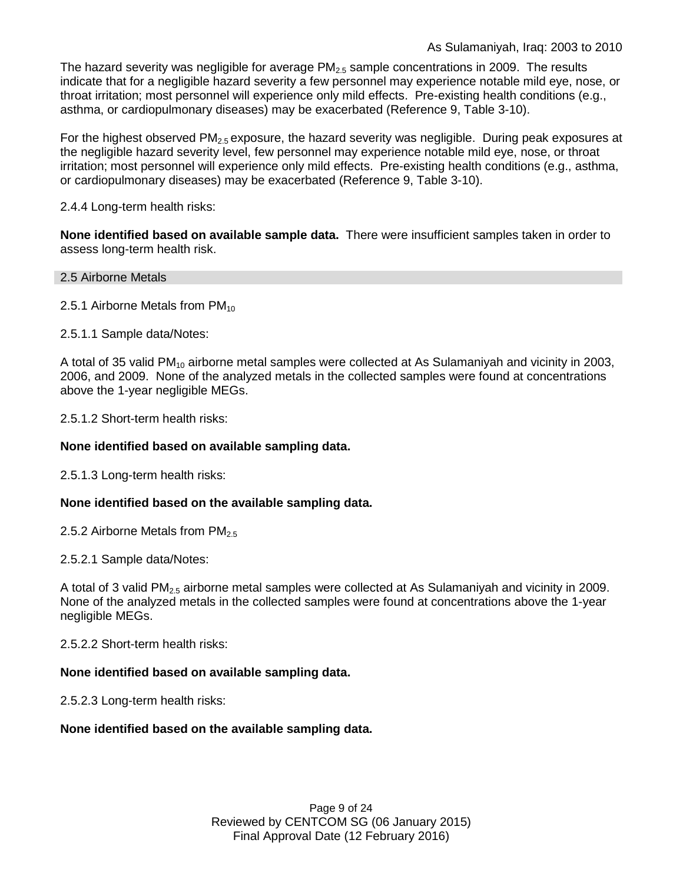The hazard severity was negligible for average  $PM<sub>2.5</sub>$  sample concentrations in 2009. The results indicate that for a negligible hazard severity a few personnel may experience notable mild eye, nose, or throat irritation; most personnel will experience only mild effects. Pre-existing health conditions (e.g., asthma, or cardiopulmonary diseases) may be exacerbated (Reference 9, Table 3-10).

For the highest observed  $PM_{2.5}$  exposure, the hazard severity was negligible. During peak exposures at the negligible hazard severity level, few personnel may experience notable mild eye, nose, or throat irritation; most personnel will experience only mild effects. Pre-existing health conditions (e.g., asthma, or cardiopulmonary diseases) may be exacerbated (Reference 9, Table 3-10).

### 2.4.4 Long-term health risks:

**None identified based on available sample data.** There were insufficient samples taken in order to assess long-term health risk.

### 2.5 Airborne Metals

2.5.1 Airborne Metals from  $PM_{10}$ 

2.5.1.1 Sample data/Notes:

A total of 35 valid PM<sub>10</sub> airborne metal samples were collected at As Sulamaniyah and vicinity in 2003, 2006, and 2009. None of the analyzed metals in the collected samples were found at concentrations above the 1-year negligible MEGs.

2.5.1.2 Short-term health risks:

### **None identified based on available sampling data.**

2.5.1.3 Long-term health risks:

### **None identified based on the available sampling data.**

2.5.2 Airborne Metals from  $PM<sub>2.5</sub>$ 

2.5.2.1 Sample data/Notes:

A total of 3 valid  $PM<sub>2.5</sub>$  airborne metal samples were collected at As Sulamaniyah and vicinity in 2009. None of the analyzed metals in the collected samples were found at concentrations above the 1-year negligible MEGs.

2.5.2.2 Short-term health risks:

### **None identified based on available sampling data.**

2.5.2.3 Long-term health risks:

### **None identified based on the available sampling data.**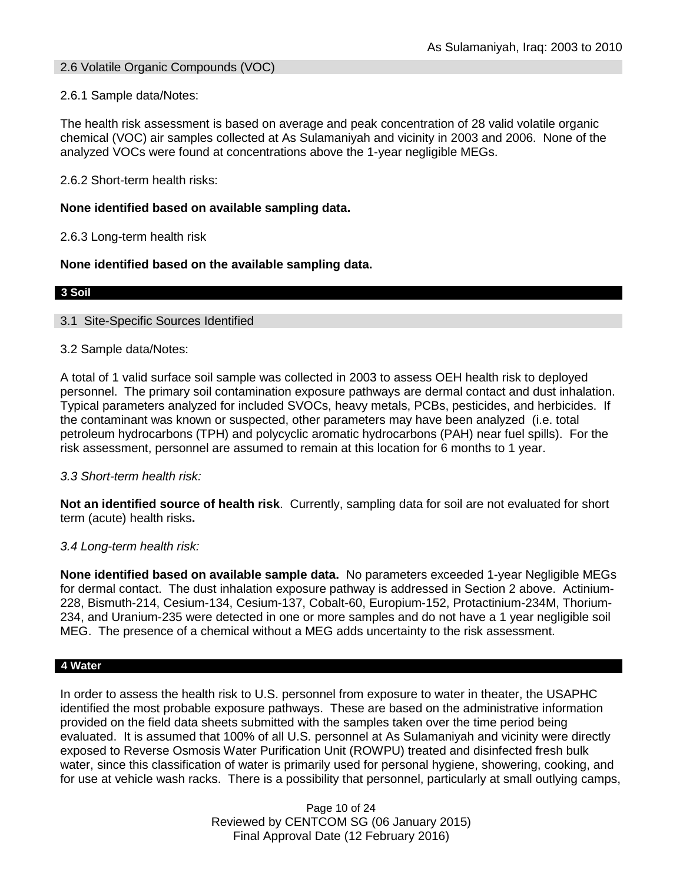### 2.6 Volatile Organic Compounds (VOC)

2.6.1 Sample data/Notes:

The health risk assessment is based on average and peak concentration of 28 valid volatile organic chemical (VOC) air samples collected at As Sulamaniyah and vicinity in 2003 and 2006. None of the analyzed VOCs were found at concentrations above the 1-year negligible MEGs.

2.6.2 Short-term health risks:

### **None identified based on available sampling data.**

2.6.3 Long-term health risk

### **None identified based on the available sampling data.**

#### **3 Soil**

### 3.1 Site-Specific Sources Identified

### 3.2 Sample data/Notes:

A total of 1 valid surface soil sample was collected in 2003 to assess OEH health risk to deployed personnel. The primary soil contamination exposure pathways are dermal contact and dust inhalation. Typical parameters analyzed for included SVOCs, heavy metals, PCBs, pesticides, and herbicides. If the contaminant was known or suspected, other parameters may have been analyzed (i.e. total petroleum hydrocarbons (TPH) and polycyclic aromatic hydrocarbons (PAH) near fuel spills). For the risk assessment, personnel are assumed to remain at this location for 6 months to 1 year.

### *3.3 Short-term health risk:*

**Not an identified source of health risk**. Currently, sampling data for soil are not evaluated for short term (acute) health risks**.**

### *3.4 Long-term health risk:*

**None identified based on available sample data.** No parameters exceeded 1-year Negligible MEGs for dermal contact. The dust inhalation exposure pathway is addressed in Section 2 above. Actinium-228, Bismuth-214, Cesium-134, Cesium-137, Cobalt-60, Europium-152, Protactinium-234M, Thorium-234, and Uranium-235 were detected in one or more samples and do not have a 1 year negligible soil MEG. The presence of a chemical without a MEG adds uncertainty to the risk assessment.

#### **4 Water**

In order to assess the health risk to U.S. personnel from exposure to water in theater, the USAPHC identified the most probable exposure pathways. These are based on the administrative information provided on the field data sheets submitted with the samples taken over the time period being evaluated. It is assumed that 100% of all U.S. personnel at As Sulamaniyah and vicinity were directly exposed to Reverse Osmosis Water Purification Unit (ROWPU) treated and disinfected fresh bulk water, since this classification of water is primarily used for personal hygiene, showering, cooking, and for use at vehicle wash racks. There is a possibility that personnel, particularly at small outlying camps,

> Page 10 of 24 Reviewed by CENTCOM SG (06 January 2015) Final Approval Date (12 February 2016)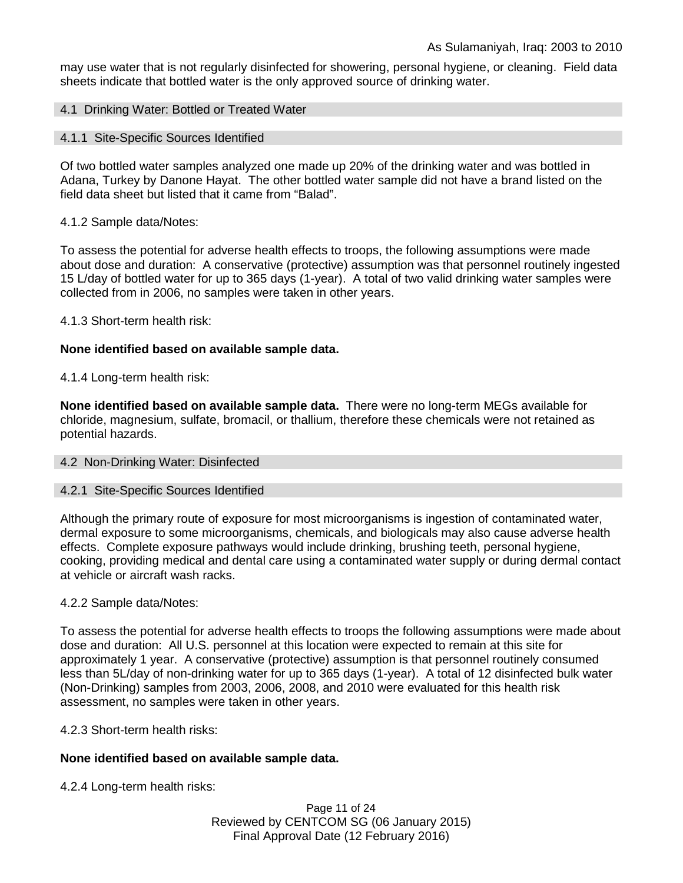may use water that is not regularly disinfected for showering, personal hygiene, or cleaning. Field data sheets indicate that bottled water is the only approved source of drinking water.

### 4.1 Drinking Water: Bottled or Treated Water

#### 4.1.1 Site-Specific Sources Identified

Of two bottled water samples analyzed one made up 20% of the drinking water and was bottled in Adana, Turkey by Danone Hayat. The other bottled water sample did not have a brand listed on the field data sheet but listed that it came from "Balad".

#### 4.1.2 Sample data/Notes:

To assess the potential for adverse health effects to troops, the following assumptions were made about dose and duration: A conservative (protective) assumption was that personnel routinely ingested 15 L/day of bottled water for up to 365 days (1-year). A total of two valid drinking water samples were collected from in 2006, no samples were taken in other years.

4.1.3 Short-term health risk:

### **None identified based on available sample data.**

4.1.4 Long-term health risk:

**None identified based on available sample data.** There were no long-term MEGs available for chloride, magnesium, sulfate, bromacil, or thallium, therefore these chemicals were not retained as potential hazards.

### 4.2 Non-Drinking Water: Disinfected

#### 4.2.1 Site-Specific Sources Identified

Although the primary route of exposure for most microorganisms is ingestion of contaminated water, dermal exposure to some microorganisms, chemicals, and biologicals may also cause adverse health effects. Complete exposure pathways would include drinking, brushing teeth, personal hygiene, cooking, providing medical and dental care using a contaminated water supply or during dermal contact at vehicle or aircraft wash racks.

#### 4.2.2 Sample data/Notes:

To assess the potential for adverse health effects to troops the following assumptions were made about dose and duration: All U.S. personnel at this location were expected to remain at this site for approximately 1 year. A conservative (protective) assumption is that personnel routinely consumed less than 5L/day of non-drinking water for up to 365 days (1-year). A total of 12 disinfected bulk water (Non-Drinking) samples from 2003, 2006, 2008, and 2010 were evaluated for this health risk assessment, no samples were taken in other years.

### 4.2.3 Short-term health risks:

### **None identified based on available sample data.**

4.2.4 Long-term health risks:

Page 11 of 24 Reviewed by CENTCOM SG (06 January 2015) Final Approval Date (12 February 2016)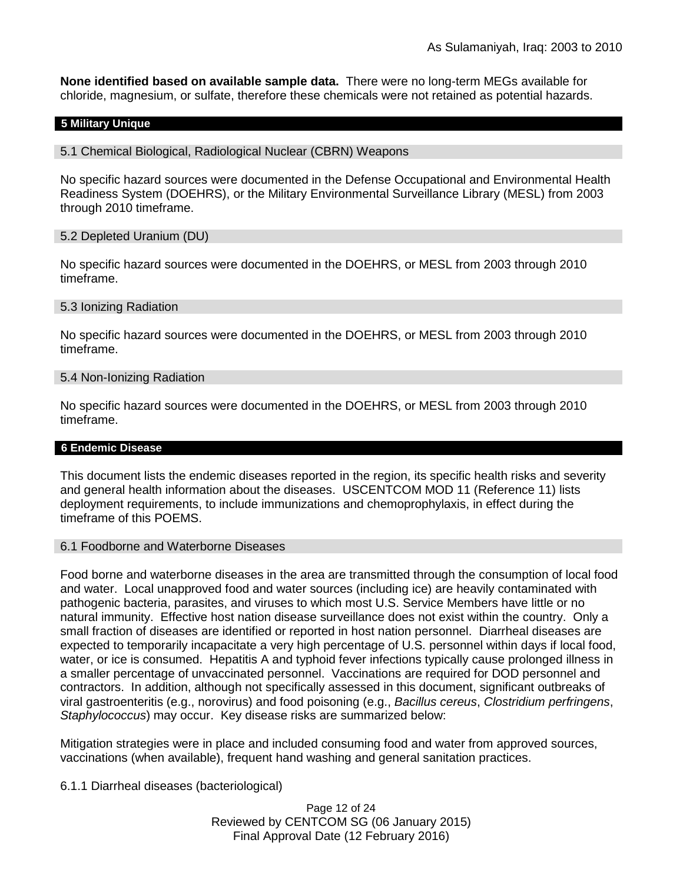**None identified based on available sample data.** There were no long-term MEGs available for chloride, magnesium, or sulfate, therefore these chemicals were not retained as potential hazards.

#### **5 Military Unique**

#### 5.1 Chemical Biological, Radiological Nuclear (CBRN) Weapons

No specific hazard sources were documented in the Defense Occupational and Environmental Health Readiness System (DOEHRS), or the Military Environmental Surveillance Library (MESL) from 2003 through 2010 timeframe.

### 5.2 Depleted Uranium (DU)

No specific hazard sources were documented in the DOEHRS, or MESL from 2003 through 2010 timeframe.

#### 5.3 Ionizing Radiation

No specific hazard sources were documented in the DOEHRS, or MESL from 2003 through 2010 timeframe.

#### 5.4 Non-Ionizing Radiation

No specific hazard sources were documented in the DOEHRS, or MESL from 2003 through 2010 timeframe.

#### **6 Endemic Disease**

This document lists the endemic diseases reported in the region, its specific health risks and severity and general health information about the diseases. USCENTCOM MOD 11 (Reference 11) lists deployment requirements, to include immunizations and chemoprophylaxis, in effect during the timeframe of this POEMS.

#### 6.1 Foodborne and Waterborne Diseases

Food borne and waterborne diseases in the area are transmitted through the consumption of local food and water. Local unapproved food and water sources (including ice) are heavily contaminated with pathogenic bacteria, parasites, and viruses to which most U.S. Service Members have little or no natural immunity. Effective host nation disease surveillance does not exist within the country. Only a small fraction of diseases are identified or reported in host nation personnel. Diarrheal diseases are expected to temporarily incapacitate a very high percentage of U.S. personnel within days if local food, water, or ice is consumed. Hepatitis A and typhoid fever infections typically cause prolonged illness in a smaller percentage of unvaccinated personnel. Vaccinations are required for DOD personnel and contractors. In addition, although not specifically assessed in this document, significant outbreaks of viral gastroenteritis (e.g., norovirus) and food poisoning (e.g., *Bacillus cereus*, *Clostridium perfringens*, *Staphylococcus*) may occur. Key disease risks are summarized below:

Mitigation strategies were in place and included consuming food and water from approved sources, vaccinations (when available), frequent hand washing and general sanitation practices.

6.1.1 Diarrheal diseases (bacteriological)

Page 12 of 24 Reviewed by CENTCOM SG (06 January 2015) Final Approval Date (12 February 2016)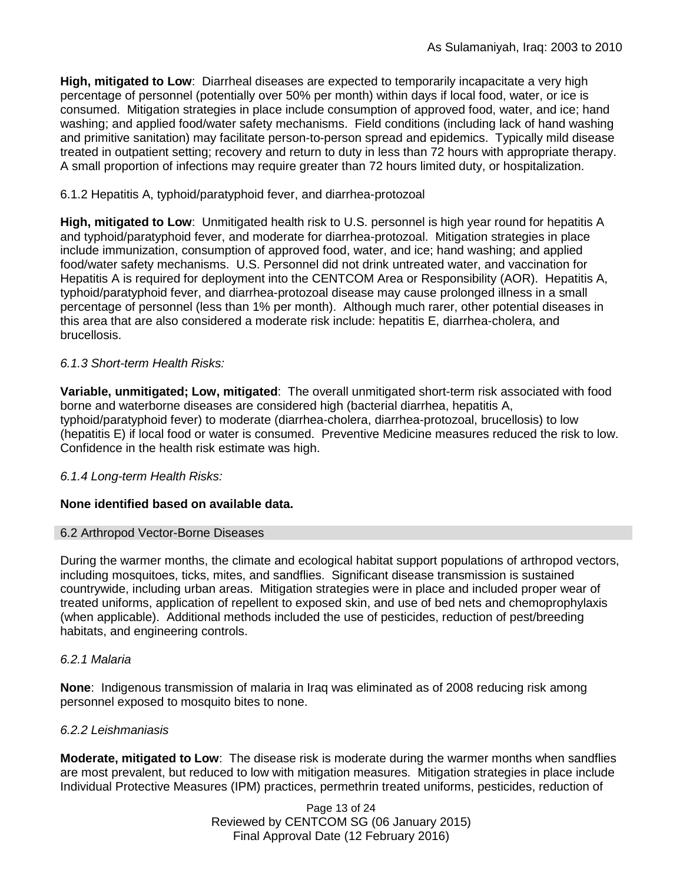**High, mitigated to Low**: Diarrheal diseases are expected to temporarily incapacitate a very high percentage of personnel (potentially over 50% per month) within days if local food, water, or ice is consumed. Mitigation strategies in place include consumption of approved food, water, and ice; hand washing; and applied food/water safety mechanisms. Field conditions (including lack of hand washing and primitive sanitation) may facilitate person-to-person spread and epidemics. Typically mild disease treated in outpatient setting; recovery and return to duty in less than 72 hours with appropriate therapy. A small proportion of infections may require greater than 72 hours limited duty, or hospitalization.

### 6.1.2 Hepatitis A, typhoid/paratyphoid fever, and diarrhea-protozoal

**High, mitigated to Low**: Unmitigated health risk to U.S. personnel is high year round for hepatitis A and typhoid/paratyphoid fever, and moderate for diarrhea-protozoal. Mitigation strategies in place include immunization, consumption of approved food, water, and ice; hand washing; and applied food/water safety mechanisms. U.S. Personnel did not drink untreated water, and vaccination for Hepatitis A is required for deployment into the CENTCOM Area or Responsibility (AOR). Hepatitis A, typhoid/paratyphoid fever, and diarrhea-protozoal disease may cause prolonged illness in a small percentage of personnel (less than 1% per month). Although much rarer, other potential diseases in this area that are also considered a moderate risk include: hepatitis E, diarrhea-cholera, and brucellosis.

### *6.1.3 Short-term Health Risks:*

**Variable, unmitigated; Low, mitigated**: The overall unmitigated short-term risk associated with food borne and waterborne diseases are considered high (bacterial diarrhea, hepatitis A, typhoid/paratyphoid fever) to moderate (diarrhea-cholera, diarrhea-protozoal, brucellosis) to low (hepatitis E) if local food or water is consumed. Preventive Medicine measures reduced the risk to low. Confidence in the health risk estimate was high.

### *6.1.4 Long-term Health Risks:*

### **None identified based on available data.**

### 6.2 Arthropod Vector-Borne Diseases

During the warmer months, the climate and ecological habitat support populations of arthropod vectors, including mosquitoes, ticks, mites, and sandflies. Significant disease transmission is sustained countrywide, including urban areas. Mitigation strategies were in place and included proper wear of treated uniforms, application of repellent to exposed skin, and use of bed nets and chemoprophylaxis (when applicable). Additional methods included the use of pesticides, reduction of pest/breeding habitats, and engineering controls.

### *6.2.1 Malaria*

**None**: Indigenous transmission of malaria in Iraq was eliminated as of 2008 reducing risk among personnel exposed to mosquito bites to none.

### *6.2.2 Leishmaniasis*

**Moderate, mitigated to Low**: The disease risk is moderate during the warmer months when sandflies are most prevalent, but reduced to low with mitigation measures. Mitigation strategies in place include Individual Protective Measures (IPM) practices, permethrin treated uniforms, pesticides, reduction of

> Page 13 of 24 Reviewed by CENTCOM SG (06 January 2015) Final Approval Date (12 February 2016)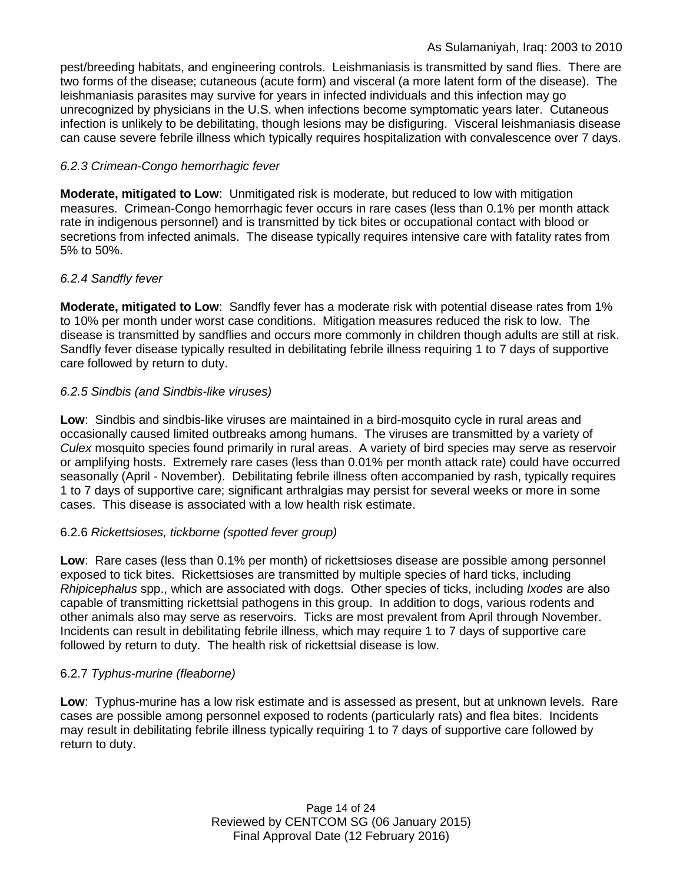pest/breeding habitats, and engineering controls. Leishmaniasis is transmitted by sand flies. There are two forms of the disease; cutaneous (acute form) and visceral (a more latent form of the disease). The leishmaniasis parasites may survive for years in infected individuals and this infection may go unrecognized by physicians in the U.S. when infections become symptomatic years later. Cutaneous infection is unlikely to be debilitating, though lesions may be disfiguring. Visceral leishmaniasis disease can cause severe febrile illness which typically requires hospitalization with convalescence over 7 days.

### *6.2.3 Crimean-Congo hemorrhagic fever*

**Moderate, mitigated to Low**: Unmitigated risk is moderate, but reduced to low with mitigation measures. Crimean-Congo hemorrhagic fever occurs in rare cases (less than 0.1% per month attack rate in indigenous personnel) and is transmitted by tick bites or occupational contact with blood or secretions from infected animals. The disease typically requires intensive care with fatality rates from 5% to 50%.

### *6.2.4 Sandfly fever*

**Moderate, mitigated to Low**: Sandfly fever has a moderate risk with potential disease rates from 1% to 10% per month under worst case conditions. Mitigation measures reduced the risk to low. The disease is transmitted by sandflies and occurs more commonly in children though adults are still at risk. Sandfly fever disease typically resulted in debilitating febrile illness requiring 1 to 7 days of supportive care followed by return to duty.

### *6.2.5 Sindbis (and Sindbis-like viruses)*

**Low**: Sindbis and sindbis-like viruses are maintained in a bird-mosquito cycle in rural areas and occasionally caused limited outbreaks among humans. The viruses are transmitted by a variety of *Culex* mosquito species found primarily in rural areas. A variety of bird species may serve as reservoir or amplifying hosts. Extremely rare cases (less than 0.01% per month attack rate) could have occurred seasonally (April - November). Debilitating febrile illness often accompanied by rash, typically requires 1 to 7 days of supportive care; significant arthralgias may persist for several weeks or more in some cases. This disease is associated with a low health risk estimate.

### 6.2.6 *Rickettsioses, tickborne (spotted fever group)*

**Low**: Rare cases (less than 0.1% per month) of rickettsioses disease are possible among personnel exposed to tick bites. Rickettsioses are transmitted by multiple species of hard ticks, including *Rhipicephalus* spp., which are associated with dogs. Other species of ticks, including *Ixodes* are also capable of transmitting rickettsial pathogens in this group. In addition to dogs, various rodents and other animals also may serve as reservoirs. Ticks are most prevalent from April through November. Incidents can result in debilitating febrile illness, which may require 1 to 7 days of supportive care followed by return to duty. The health risk of rickettsial disease is low.

### 6.2.7 *Typhus-murine (fleaborne)*

**Low**: Typhus-murine has a low risk estimate and is assessed as present, but at unknown levels. Rare cases are possible among personnel exposed to rodents (particularly rats) and flea bites. Incidents may result in debilitating febrile illness typically requiring 1 to 7 days of supportive care followed by return to duty.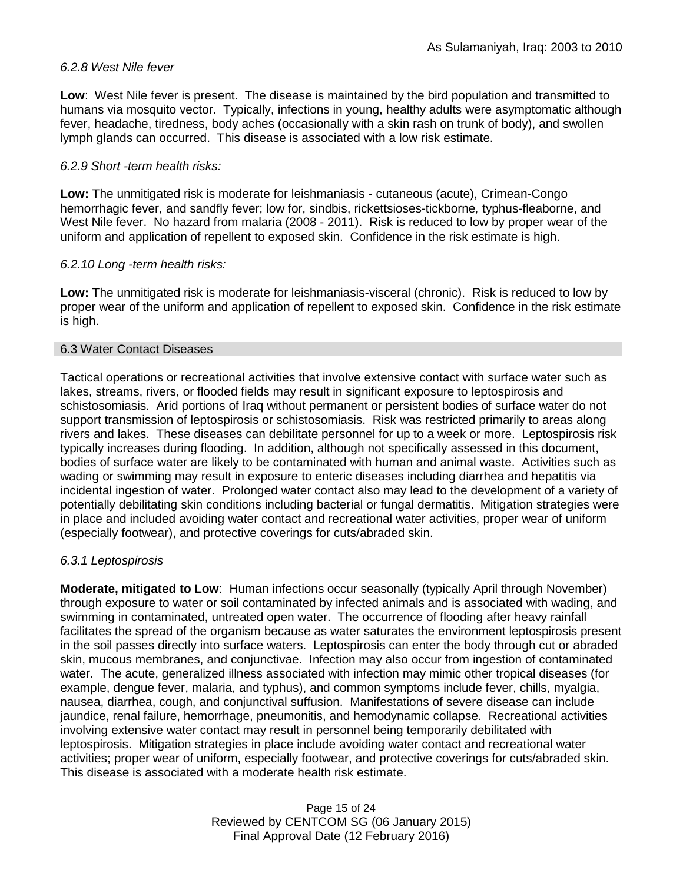### *6.2.8 West Nile fever*

**Low**: West Nile fever is present. The disease is maintained by the bird population and transmitted to humans via mosquito vector. Typically, infections in young, healthy adults were asymptomatic although fever, headache, tiredness, body aches (occasionally with a skin rash on trunk of body), and swollen lymph glands can occurred. This disease is associated with a low risk estimate.

### *6.2.9 Short -term health risks:*

**Low:** The unmitigated risk is moderate for leishmaniasis - cutaneous (acute), Crimean-Congo hemorrhagic fever, and sandfly fever; low for, sindbis, rickettsioses-tickborne*,* typhus-fleaborne, and West Nile fever. No hazard from malaria (2008 - 2011). Risk is reduced to low by proper wear of the uniform and application of repellent to exposed skin. Confidence in the risk estimate is high.

### *6.2.10 Long -term health risks:*

**Low:** The unmitigated risk is moderate for leishmaniasis-visceral (chronic). Risk is reduced to low by proper wear of the uniform and application of repellent to exposed skin. Confidence in the risk estimate is high.

### 6.3 Water Contact Diseases

Tactical operations or recreational activities that involve extensive contact with surface water such as lakes, streams, rivers, or flooded fields may result in significant exposure to leptospirosis and schistosomiasis. Arid portions of Iraq without permanent or persistent bodies of surface water do not support transmission of leptospirosis or schistosomiasis. Risk was restricted primarily to areas along rivers and lakes. These diseases can debilitate personnel for up to a week or more. Leptospirosis risk typically increases during flooding. In addition, although not specifically assessed in this document, bodies of surface water are likely to be contaminated with human and animal waste. Activities such as wading or swimming may result in exposure to enteric diseases including diarrhea and hepatitis via incidental ingestion of water. Prolonged water contact also may lead to the development of a variety of potentially debilitating skin conditions including bacterial or fungal dermatitis. Mitigation strategies were in place and included avoiding water contact and recreational water activities, proper wear of uniform (especially footwear), and protective coverings for cuts/abraded skin.

### *6.3.1 Leptospirosis*

**Moderate, mitigated to Low**: Human infections occur seasonally (typically April through November) through exposure to water or soil contaminated by infected animals and is associated with wading, and swimming in contaminated, untreated open water. The occurrence of flooding after heavy rainfall facilitates the spread of the organism because as water saturates the environment leptospirosis present in the soil passes directly into surface waters. Leptospirosis can enter the body through cut or abraded skin, mucous membranes, and conjunctivae. Infection may also occur from ingestion of contaminated water. The acute, generalized illness associated with infection may mimic other tropical diseases (for example, dengue fever, malaria, and typhus), and common symptoms include fever, chills, myalgia, nausea, diarrhea, cough, and conjunctival suffusion. Manifestations of severe disease can include jaundice, renal failure, hemorrhage, pneumonitis, and hemodynamic collapse. Recreational activities involving extensive water contact may result in personnel being temporarily debilitated with leptospirosis. Mitigation strategies in place include avoiding water contact and recreational water activities; proper wear of uniform, especially footwear, and protective coverings for cuts/abraded skin. This disease is associated with a moderate health risk estimate.

> Page 15 of 24 Reviewed by CENTCOM SG (06 January 2015) Final Approval Date (12 February 2016)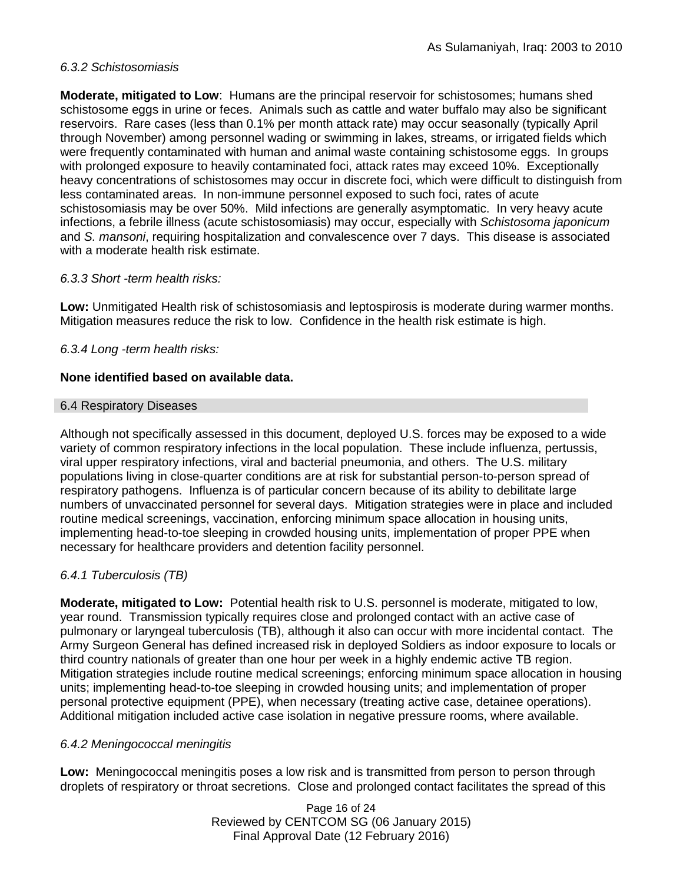### *6.3.2 Schistosomiasis*

**Moderate, mitigated to Low**: Humans are the principal reservoir for schistosomes; humans shed schistosome eggs in urine or feces. Animals such as cattle and water buffalo may also be significant reservoirs. Rare cases (less than 0.1% per month attack rate) may occur seasonally (typically April through November) among personnel wading or swimming in lakes, streams, or irrigated fields which were frequently contaminated with human and animal waste containing schistosome eggs. In groups with prolonged exposure to heavily contaminated foci, attack rates may exceed 10%. Exceptionally heavy concentrations of schistosomes may occur in discrete foci, which were difficult to distinguish from less contaminated areas. In non-immune personnel exposed to such foci, rates of acute schistosomiasis may be over 50%. Mild infections are generally asymptomatic. In very heavy acute infections, a febrile illness (acute schistosomiasis) may occur, especially with *Schistosoma japonicum*  and *S. mansoni*, requiring hospitalization and convalescence over 7 days. This disease is associated with a moderate health risk estimate.

### *6.3.3 Short -term health risks:*

**Low:** Unmitigated Health risk of schistosomiasis and leptospirosis is moderate during warmer months. Mitigation measures reduce the risk to low. Confidence in the health risk estimate is high.

### *6.3.4 Long -term health risks:*

### **None identified based on available data.**

#### 6.4 Respiratory Diseases

Although not specifically assessed in this document, deployed U.S. forces may be exposed to a wide variety of common respiratory infections in the local population. These include influenza, pertussis, viral upper respiratory infections, viral and bacterial pneumonia, and others. The U.S. military populations living in close-quarter conditions are at risk for substantial person-to-person spread of respiratory pathogens. Influenza is of particular concern because of its ability to debilitate large numbers of unvaccinated personnel for several days. Mitigation strategies were in place and included routine medical screenings, vaccination, enforcing minimum space allocation in housing units, implementing head-to-toe sleeping in crowded housing units, implementation of proper PPE when necessary for healthcare providers and detention facility personnel.

### *6.4.1 Tuberculosis (TB)*

**Moderate, mitigated to Low:** Potential health risk to U.S. personnel is moderate, mitigated to low, year round. Transmission typically requires close and prolonged contact with an active case of pulmonary or laryngeal tuberculosis (TB), although it also can occur with more incidental contact. The Army Surgeon General has defined increased risk in deployed Soldiers as indoor exposure to locals or third country nationals of greater than one hour per week in a highly endemic active TB region. Mitigation strategies include routine medical screenings; enforcing minimum space allocation in housing units; implementing head-to-toe sleeping in crowded housing units; and implementation of proper personal protective equipment (PPE), when necessary (treating active case, detainee operations). Additional mitigation included active case isolation in negative pressure rooms, where available.

### *6.4.2 Meningococcal meningitis*

**Low:** Meningococcal meningitis poses a low risk and is transmitted from person to person through droplets of respiratory or throat secretions. Close and prolonged contact facilitates the spread of this

> Page 16 of 24 Reviewed by CENTCOM SG (06 January 2015) Final Approval Date (12 February 2016)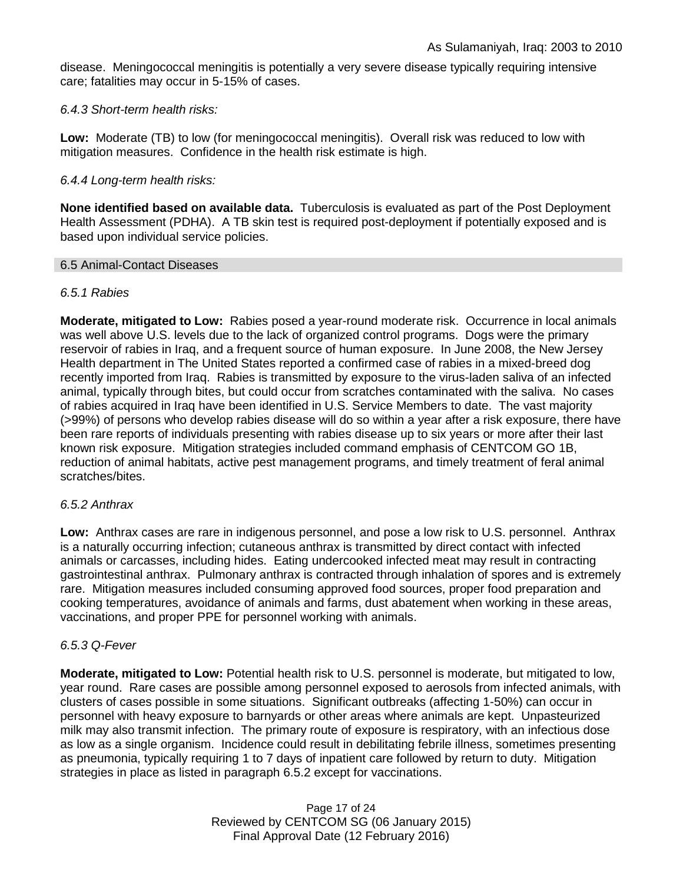disease. Meningococcal meningitis is potentially a very severe disease typically requiring intensive care; fatalities may occur in 5-15% of cases.

### *6.4.3 Short-term health risks:*

**Low:** Moderate (TB) to low (for meningococcal meningitis). Overall risk was reduced to low with mitigation measures. Confidence in the health risk estimate is high.

### *6.4.4 Long-term health risks:*

**None identified based on available data.** Tuberculosis is evaluated as part of the Post Deployment Health Assessment (PDHA). A TB skin test is required post-deployment if potentially exposed and is based upon individual service policies.

### 6.5 Animal-Contact Diseases

### *6.5.1 Rabies*

**Moderate, mitigated to Low:** Rabies posed a year-round moderate risk. Occurrence in local animals was well above U.S. levels due to the lack of organized control programs. Dogs were the primary reservoir of rabies in Iraq, and a frequent source of human exposure. In June 2008, the New Jersey Health department in The United States reported a confirmed case of rabies in a mixed-breed dog recently imported from Iraq. Rabies is transmitted by exposure to the virus-laden saliva of an infected animal, typically through bites, but could occur from scratches contaminated with the saliva. No cases of rabies acquired in Iraq have been identified in U.S. Service Members to date. The vast majority (>99%) of persons who develop rabies disease will do so within a year after a risk exposure, there have been rare reports of individuals presenting with rabies disease up to six years or more after their last known risk exposure. Mitigation strategies included command emphasis of CENTCOM GO 1B, reduction of animal habitats, active pest management programs, and timely treatment of feral animal scratches/bites.

### *6.5.2 Anthrax*

**Low:** Anthrax cases are rare in indigenous personnel, and pose a low risk to U.S. personnel. Anthrax is a naturally occurring infection; cutaneous anthrax is transmitted by direct contact with infected animals or carcasses, including hides. Eating undercooked infected meat may result in contracting gastrointestinal anthrax. Pulmonary anthrax is contracted through inhalation of spores and is extremely rare. Mitigation measures included consuming approved food sources, proper food preparation and cooking temperatures, avoidance of animals and farms, dust abatement when working in these areas, vaccinations, and proper PPE for personnel working with animals.

### *6.5.3 Q-Fever*

**Moderate, mitigated to Low:** Potential health risk to U.S. personnel is moderate, but mitigated to low, year round. Rare cases are possible among personnel exposed to aerosols from infected animals, with clusters of cases possible in some situations. Significant outbreaks (affecting 1-50%) can occur in personnel with heavy exposure to barnyards or other areas where animals are kept. Unpasteurized milk may also transmit infection. The primary route of exposure is respiratory, with an infectious dose as low as a single organism. Incidence could result in debilitating febrile illness, sometimes presenting as pneumonia, typically requiring 1 to 7 days of inpatient care followed by return to duty. Mitigation strategies in place as listed in paragraph 6.5.2 except for vaccinations.

> Page 17 of 24 Reviewed by CENTCOM SG (06 January 2015) Final Approval Date (12 February 2016)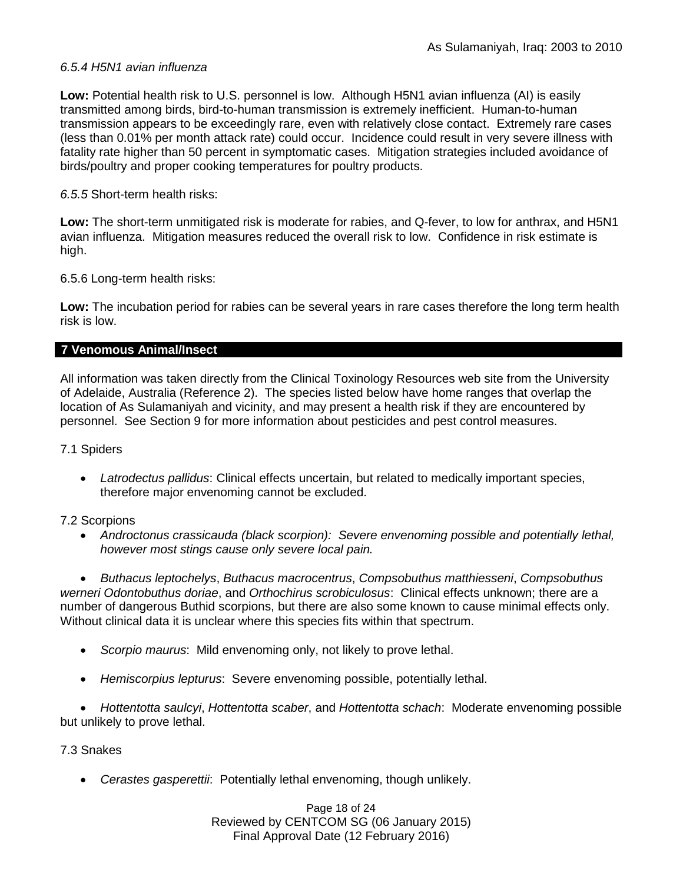### *6.5.4 H5N1 avian influenza*

**Low:** Potential health risk to U.S. personnel is low. Although H5N1 avian influenza (AI) is easily transmitted among birds, bird-to-human transmission is extremely inefficient. Human-to-human transmission appears to be exceedingly rare, even with relatively close contact. Extremely rare cases (less than 0.01% per month attack rate) could occur. Incidence could result in very severe illness with fatality rate higher than 50 percent in symptomatic cases. Mitigation strategies included avoidance of birds/poultry and proper cooking temperatures for poultry products.

### *6.5.5* Short-term health risks:

**Low:** The short-term unmitigated risk is moderate for rabies, and Q-fever, to low for anthrax, and H5N1 avian influenza. Mitigation measures reduced the overall risk to low.Confidence in risk estimate is high.

6.5.6 Long-term health risks:

**Low:** The incubation period for rabies can be several years in rare cases therefore the long term health risk is low.

### **7 Venomous Animal/Insect**

All information was taken directly from the Clinical Toxinology Resources web site from the University of Adelaide, Australia (Reference 2). The species listed below have home ranges that overlap the location of As Sulamaniyah and vicinity, and may present a health risk if they are encountered by personnel. See Section 9 for more information about pesticides and pest control measures.

### 7.1 Spiders

• *Latrodectus pallidus*: Clinical effects uncertain, but related to medically important species, therefore major envenoming cannot be excluded.

### 7.2 Scorpions

• *Androctonus crassicauda (black scorpion): Severe envenoming possible and potentially lethal, however most stings cause only severe local pain.* 

• *Buthacus leptochelys*, *Buthacus macrocentrus*, *Compsobuthus matthiesseni*, *Compsobuthus werneri Odontobuthus doriae*, and *Orthochirus scrobiculosus*: Clinical effects unknown; there are a number of dangerous Buthid scorpions, but there are also some known to cause minimal effects only. Without clinical data it is unclear where this species fits within that spectrum.

- *Scorpio maurus*: Mild envenoming only, not likely to prove lethal.
- *Hemiscorpius lepturus*: Severe envenoming possible, potentially lethal.

• *Hottentotta saulcyi*, *Hottentotta scaber*, and *Hottentotta schach*: Moderate envenoming possible but unlikely to prove lethal.

### 7.3 Snakes

• *Cerastes gasperettii*: Potentially lethal envenoming, though unlikely.

Page 18 of 24 Reviewed by CENTCOM SG (06 January 2015) Final Approval Date (12 February 2016)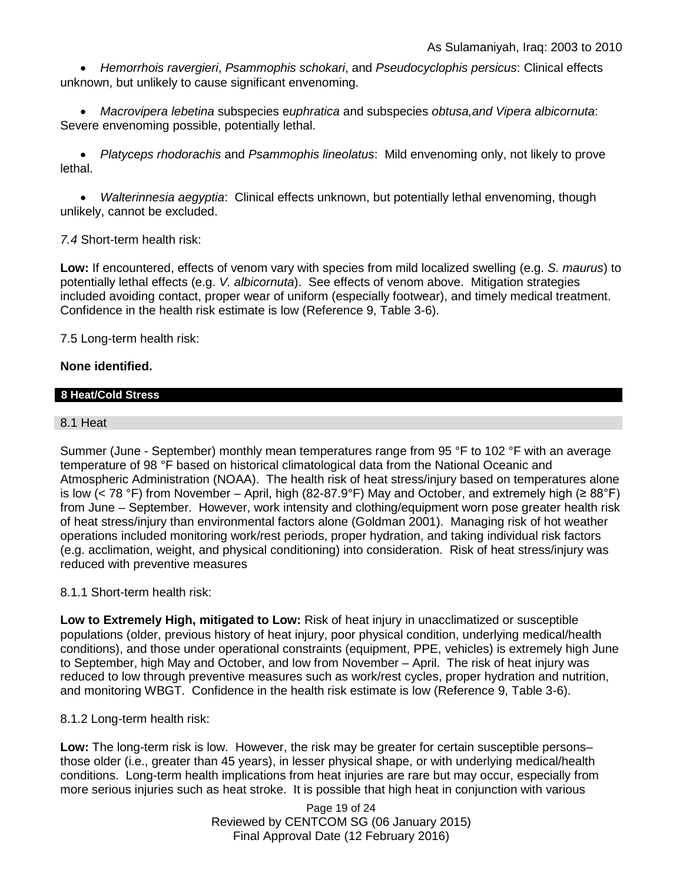• *Hemorrhois ravergieri*, *Psammophis schokari*, and *Pseudocyclophis persicus*: Clinical effects unknown, but unlikely to cause significant envenoming.

• *Macrovipera lebetina* subspecies e*uphratica* and subspecies *obtusa,and Vipera albicornuta*: Severe envenoming possible, potentially lethal.

• *Platyceps rhodorachis* and *Psammophis lineolatus*: Mild envenoming only, not likely to prove lethal.

• *Walterinnesia aegyptia*: Clinical effects unknown, but potentially lethal envenoming, though unlikely, cannot be excluded.

### *7.4* Short-term health risk:

**Low:** If encountered, effects of venom vary with species from mild localized swelling (e.g. *S. maurus*) to potentially lethal effects (e.g. *V. albicornuta*). See effects of venom above. Mitigation strategies included avoiding contact, proper wear of uniform (especially footwear), and timely medical treatment. Confidence in the health risk estimate is low (Reference 9, Table 3-6).

7.5 Long-term health risk:

### **None identified.**

### **8 Heat/Cold Stress**

### 8.1 Heat

Summer (June - September) monthly mean temperatures range from 95 °F to 102 °F with an average temperature of 98 °F based on historical climatological data from the National Oceanic and Atmospheric Administration (NOAA). The health risk of heat stress/injury based on temperatures alone is low (< 78 °F) from November – April, high (82-87.9°F) May and October, and extremely high (≥ 88°F) from June – September. However, work intensity and clothing/equipment worn pose greater health risk of heat stress/injury than environmental factors alone (Goldman 2001). Managing risk of hot weather operations included monitoring work/rest periods, proper hydration, and taking individual risk factors (e.g. acclimation, weight, and physical conditioning) into consideration. Risk of heat stress/injury was reduced with preventive measures

### 8.1.1 Short-term health risk:

**Low to Extremely High, mitigated to Low:** Risk of heat injury in unacclimatized or susceptible populations (older, previous history of heat injury, poor physical condition, underlying medical/health conditions), and those under operational constraints (equipment, PPE, vehicles) is extremely high June to September, high May and October, and low from November – April. The risk of heat injury was reduced to low through preventive measures such as work/rest cycles, proper hydration and nutrition, and monitoring WBGT. Confidence in the health risk estimate is low (Reference 9, Table 3-6).

### 8.1.2 Long-term health risk:

**Low:** The long-term risk is low. However, the risk may be greater for certain susceptible persons– those older (i.e., greater than 45 years), in lesser physical shape, or with underlying medical/health conditions. Long-term health implications from heat injuries are rare but may occur, especially from more serious injuries such as heat stroke. It is possible that high heat in conjunction with various

> Page 19 of 24 Reviewed by CENTCOM SG (06 January 2015) Final Approval Date (12 February 2016)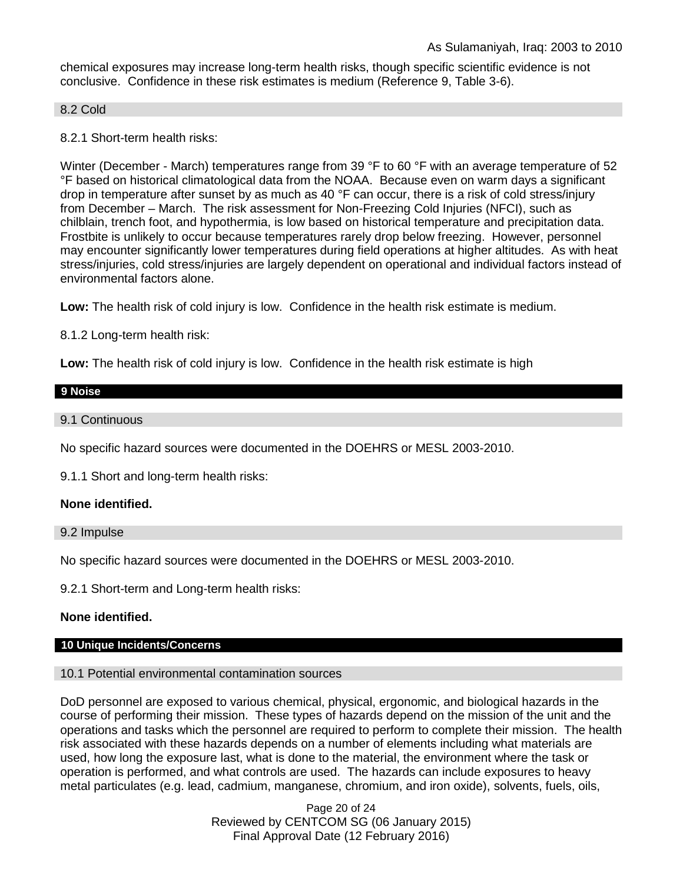chemical exposures may increase long-term health risks, though specific scientific evidence is not conclusive. Confidence in these risk estimates is medium (Reference 9, Table 3-6).

#### 8.2 Cold

8.2.1 Short-term health risks:

Winter (December - March) temperatures range from 39 °F to 60 °F with an average temperature of 52 °F based on historical climatological data from the NOAA. Because even on warm days a significant drop in temperature after sunset by as much as 40 °F can occur, there is a risk of cold stress/injury from December – March. The risk assessment for Non-Freezing Cold Injuries (NFCI), such as chilblain, trench foot, and hypothermia, is low based on historical temperature and precipitation data. Frostbite is unlikely to occur because temperatures rarely drop below freezing. However, personnel may encounter significantly lower temperatures during field operations at higher altitudes. As with heat stress/injuries, cold stress/injuries are largely dependent on operational and individual factors instead of environmental factors alone.

**Low:** The health risk of cold injury is low. Confidence in the health risk estimate is medium.

8.1.2 Long-term health risk:

**Low:** The health risk of cold injury is low. Confidence in the health risk estimate is high

# **9 Noise**

9.1 Continuous

No specific hazard sources were documented in the DOEHRS or MESL 2003-2010.

9.1.1 Short and long-term health risks:

### **None identified.**

9.2 Impulse

No specific hazard sources were documented in the DOEHRS or MESL 2003-2010.

9.2.1 Short-term and Long-term health risks:

### **None identified.**

### **10 Unique Incidents/Concerns**

### 10.1 Potential environmental contamination sources

DoD personnel are exposed to various chemical, physical, ergonomic, and biological hazards in the course of performing their mission. These types of hazards depend on the mission of the unit and the operations and tasks which the personnel are required to perform to complete their mission. The health risk associated with these hazards depends on a number of elements including what materials are used, how long the exposure last, what is done to the material, the environment where the task or operation is performed, and what controls are used. The hazards can include exposures to heavy metal particulates (e.g. lead, cadmium, manganese, chromium, and iron oxide), solvents, fuels, oils,

> Page 20 of 24 Reviewed by CENTCOM SG (06 January 2015) Final Approval Date (12 February 2016)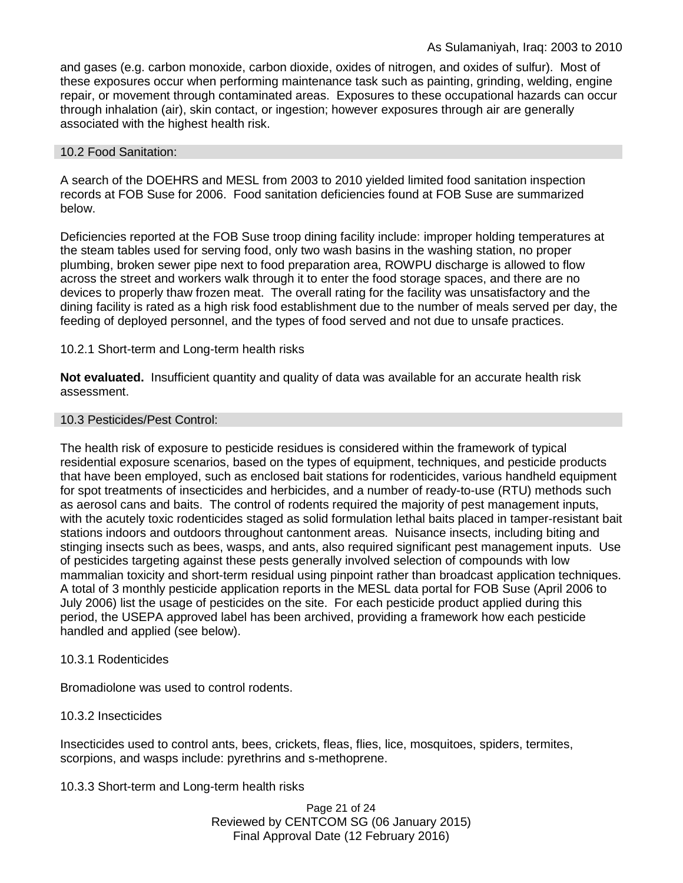and gases (e.g. carbon monoxide, carbon dioxide, oxides of nitrogen, and oxides of sulfur). Most of these exposures occur when performing maintenance task such as painting, grinding, welding, engine repair, or movement through contaminated areas. Exposures to these occupational hazards can occur through inhalation (air), skin contact, or ingestion; however exposures through air are generally associated with the highest health risk.

### 10.2 Food Sanitation:

A search of the DOEHRS and MESL from 2003 to 2010 yielded limited food sanitation inspection records at FOB Suse for 2006. Food sanitation deficiencies found at FOB Suse are summarized below.

Deficiencies reported at the FOB Suse troop dining facility include: improper holding temperatures at the steam tables used for serving food, only two wash basins in the washing station, no proper plumbing, broken sewer pipe next to food preparation area, ROWPU discharge is allowed to flow across the street and workers walk through it to enter the food storage spaces, and there are no devices to properly thaw frozen meat. The overall rating for the facility was unsatisfactory and the dining facility is rated as a high risk food establishment due to the number of meals served per day, the feeding of deployed personnel, and the types of food served and not due to unsafe practices.

### 10.2.1 Short-term and Long-term health risks

**Not evaluated.** Insufficient quantity and quality of data was available for an accurate health risk assessment.

### 10.3 Pesticides/Pest Control:

The health risk of exposure to pesticide residues is considered within the framework of typical residential exposure scenarios, based on the types of equipment, techniques, and pesticide products that have been employed, such as enclosed bait stations for rodenticides, various handheld equipment for spot treatments of insecticides and herbicides, and a number of ready-to-use (RTU) methods such as aerosol cans and baits. The control of rodents required the majority of pest management inputs, with the acutely toxic rodenticides staged as solid formulation lethal baits placed in tamper-resistant bait stations indoors and outdoors throughout cantonment areas. Nuisance insects, including biting and stinging insects such as bees, wasps, and ants, also required significant pest management inputs. Use of pesticides targeting against these pests generally involved selection of compounds with low mammalian toxicity and short-term residual using pinpoint rather than broadcast application techniques. A total of 3 monthly pesticide application reports in the MESL data portal for FOB Suse (April 2006 to July 2006) list the usage of pesticides on the site. For each pesticide product applied during this period, the USEPA approved label has been archived, providing a framework how each pesticide handled and applied (see below).

### 10.3.1 Rodenticides

Bromadiolone was used to control rodents.

### 10.3.2 Insecticides

Insecticides used to control ants, bees, crickets, fleas, flies, lice, mosquitoes, spiders, termites, scorpions, and wasps include: pyrethrins and s-methoprene.

10.3.3 Short-term and Long-term health risks

Page 21 of 24 Reviewed by CENTCOM SG (06 January 2015) Final Approval Date (12 February 2016)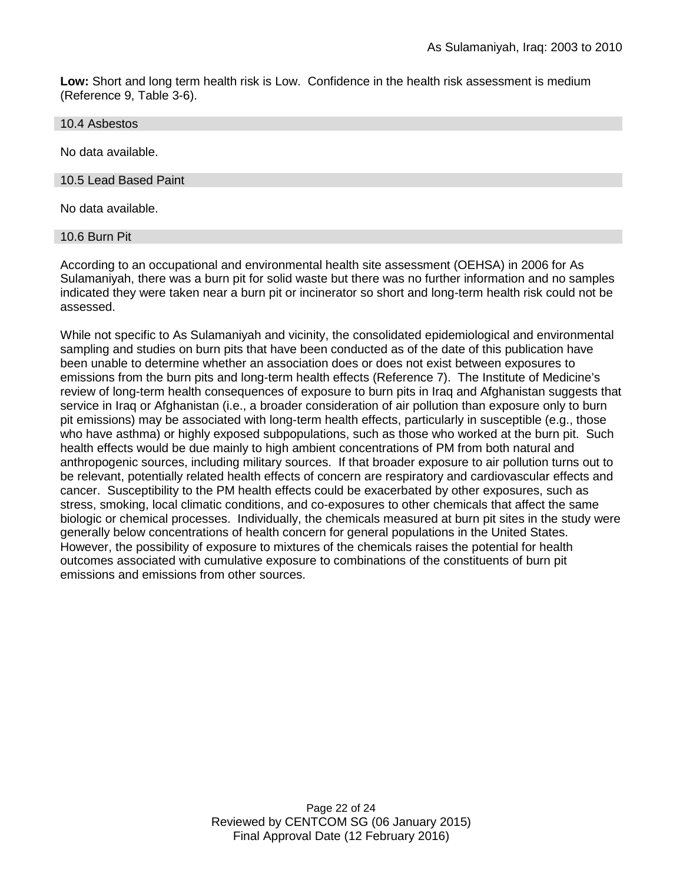**Low:** Short and long term health risk is Low. Confidence in the health risk assessment is medium (Reference 9, Table 3-6).

10.4 Asbestos

No data available.

10.5 Lead Based Paint

No data available.

10.6 Burn Pit

According to an occupational and environmental health site assessment (OEHSA) in 2006 for As Sulamaniyah, there was a burn pit for solid waste but there was no further information and no samples indicated they were taken near a burn pit or incinerator so short and long-term health risk could not be assessed.

While not specific to As Sulamaniyah and vicinity, the consolidated epidemiological and environmental sampling and studies on burn pits that have been conducted as of the date of this publication have been unable to determine whether an association does or does not exist between exposures to emissions from the burn pits and long-term health effects (Reference 7). The Institute of Medicine's review of long-term health consequences of exposure to burn pits in Iraq and Afghanistan suggests that service in Iraq or Afghanistan (i.e., a broader consideration of air pollution than exposure only to burn pit emissions) may be associated with long-term health effects, particularly in susceptible (e.g., those who have asthma) or highly exposed subpopulations, such as those who worked at the burn pit. Such health effects would be due mainly to high ambient concentrations of PM from both natural and anthropogenic sources, including military sources. If that broader exposure to air pollution turns out to be relevant, potentially related health effects of concern are respiratory and cardiovascular effects and cancer. Susceptibility to the PM health effects could be exacerbated by other exposures, such as stress, smoking, local climatic conditions, and co-exposures to other chemicals that affect the same biologic or chemical processes. Individually, the chemicals measured at burn pit sites in the study were generally below concentrations of health concern for general populations in the United States. However, the possibility of exposure to mixtures of the chemicals raises the potential for health outcomes associated with cumulative exposure to combinations of the constituents of burn pit emissions and emissions from other sources.

> Page 22 of 24 Reviewed by CENTCOM SG (06 January 2015) Final Approval Date (12 February 2016)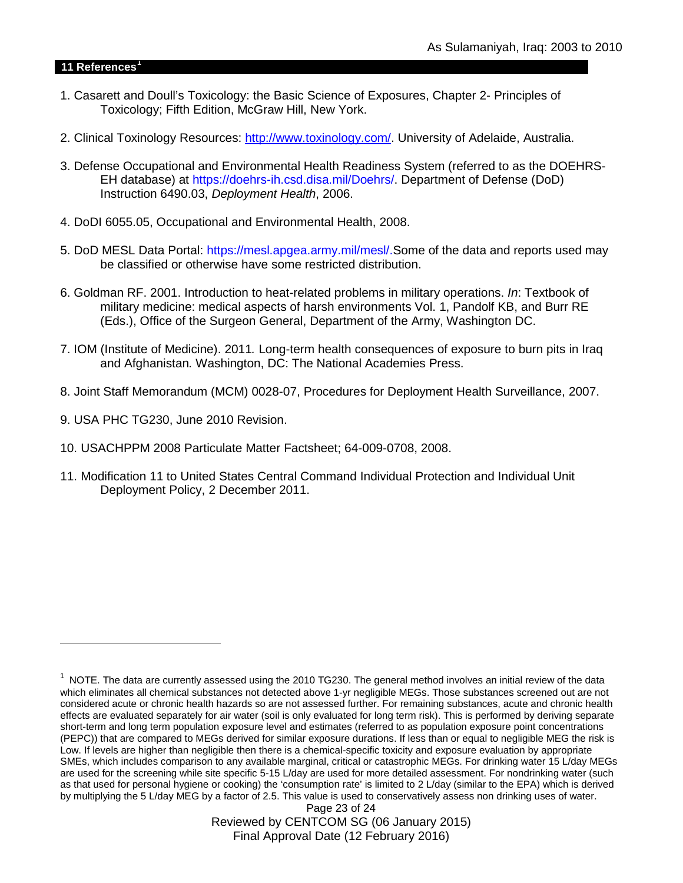#### **11 References[1](#page-22-0)**

-

- 1. Casarett and Doull's Toxicology: the Basic Science of Exposures, Chapter 2- Principles of Toxicology; Fifth Edition, McGraw Hill, New York.
- 2. Clinical Toxinology Resources: [http://www.toxinology.com/.](http://www.toxinology.com/) University of Adelaide, Australia.
- 3. Defense Occupational and Environmental Health Readiness System (referred to as the DOEHRS-EH database) at https://doehrs-ih.csd.disa.mil/Doehrs/. Department of Defense (DoD) Instruction 6490.03, *Deployment Health*, 2006.
- 4. DoDI 6055.05, Occupational and Environmental Health, 2008.
- 5. DoD MESL Data Portal: https://mesl.apgea.army.mil/mesl/.Some of the data and reports used may be classified or otherwise have some restricted distribution.
- 6. Goldman RF. 2001. Introduction to heat-related problems in military operations. *In*: Textbook of military medicine: medical aspects of harsh environments Vol. 1, Pandolf KB, and Burr RE (Eds.), Office of the Surgeon General, Department of the Army, Washington DC.
- 7. IOM (Institute of Medicine). 2011*.* Long-term health consequences of exposure to burn pits in Iraq and Afghanistan*.* Washington, DC: The National Academies Press.
- 8. Joint Staff Memorandum (MCM) 0028-07, Procedures for Deployment Health Surveillance, 2007.
- 9. USA PHC TG230, June 2010 Revision.
- 10. USACHPPM 2008 Particulate Matter Factsheet; 64-009-0708, 2008.
- 11. Modification 11 to United States Central Command Individual Protection and Individual Unit Deployment Policy, 2 December 2011.

Page 23 of 24 Reviewed by CENTCOM SG (06 January 2015) Final Approval Date (12 February 2016)

<span id="page-22-0"></span> $1$  NOTE. The data are currently assessed using the 2010 TG230. The general method involves an initial review of the data which eliminates all chemical substances not detected above 1-yr negligible MEGs. Those substances screened out are not considered acute or chronic health hazards so are not assessed further. For remaining substances, acute and chronic health effects are evaluated separately for air water (soil is only evaluated for long term risk). This is performed by deriving separate short-term and long term population exposure level and estimates (referred to as population exposure point concentrations (PEPC)) that are compared to MEGs derived for similar exposure durations. If less than or equal to negligible MEG the risk is Low. If levels are higher than negligible then there is a chemical-specific toxicity and exposure evaluation by appropriate SMEs, which includes comparison to any available marginal, critical or catastrophic MEGs. For drinking water 15 L/day MEGs are used for the screening while site specific 5-15 L/day are used for more detailed assessment. For nondrinking water (such as that used for personal hygiene or cooking) the 'consumption rate' is limited to 2 L/day (similar to the EPA) which is derived by multiplying the 5 L/day MEG by a factor of 2.5. This value is used to conservatively assess non drinking uses of water.